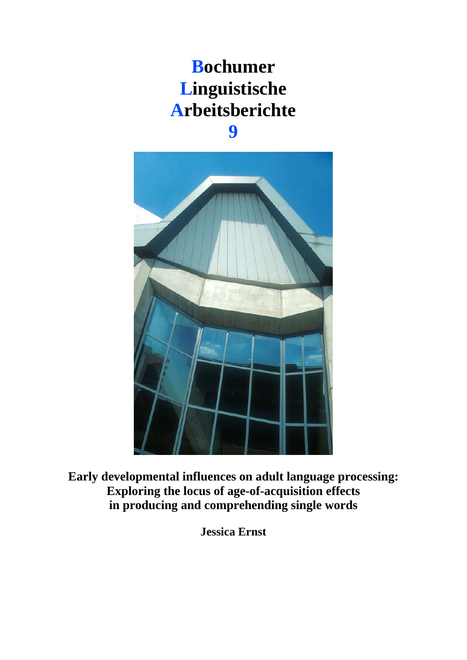## **Bochumer Linguistische Arbeitsberichte 9**

**Early developmental influences on adult language processing: Exploring the locus of age-of-acquisition effects in producing and comprehending single words** 

**Jessica Ernst**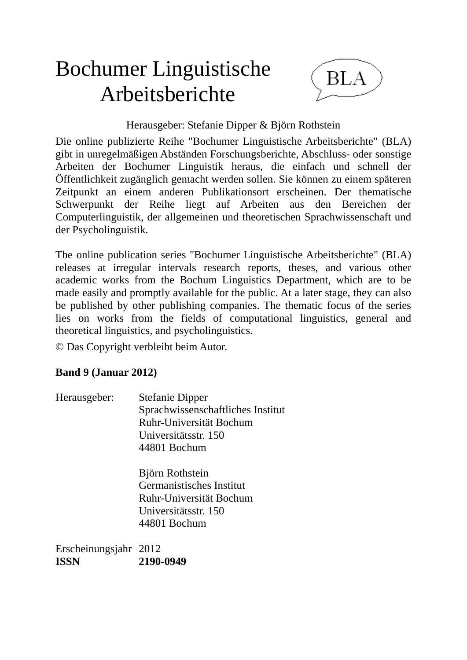# Bochumer Linguistische Arbeitsberichte



## Herausgeber: Stefanie Dipper & Björn Rothstein

Die online publizierte Reihe "Bochumer Linguistische Arbeitsberichte" (BLA) gibt in unregelmäßigen Abständen Forschungsberichte, Abschluss- oder sonstige Arbeiten der Bochumer Linguistik heraus, die einfach und schnell der Öffentlichkeit zugänglich gemacht werden sollen. Sie können zu einem späteren Zeitpunkt an einem anderen Publikationsort erscheinen. Der thematische Schwerpunkt der Reihe liegt auf Arbeiten aus den Bereichen der Computerlinguistik, der allgemeinen und theoretischen Sprachwissenschaft und der Psycholinguistik.

The online publication series "Bochumer Linguistische Arbeitsberichte" (BLA) releases at irregular intervals research reports, theses, and various other academic works from the Bochum Linguistics Department, which are to be made easily and promptly available for the public. At a later stage, they can also be published by other publishing companies. The thematic focus of the series lies on works from the fields of computational linguistics, general and theoretical linguistics, and psycholinguistics.

© Das Copyright verbleibt beim Autor.

## **Band 9 (Januar 2012)**

Herausgeber: Stefanie Dipper Sprachwissenschaftliches Institut Ruhr-Universität Bochum Universitätsstr. 150 44801 Bochum

> Björn Rothstein Germanistisches Institut Ruhr-Universität Bochum Universitätsstr. 150 44801 Bochum

Erscheinungsjahr 2012 **ISSN 2190-0949**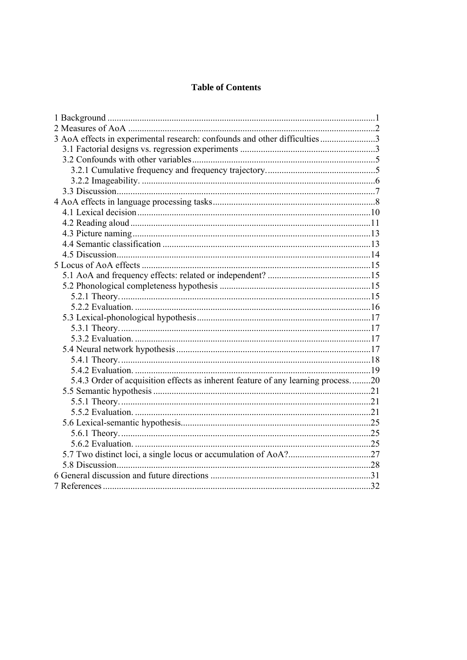#### **Table of Contents**

| 3 AoA effects in experimental research: confounds and other difficulties3        |  |
|----------------------------------------------------------------------------------|--|
|                                                                                  |  |
|                                                                                  |  |
|                                                                                  |  |
|                                                                                  |  |
|                                                                                  |  |
|                                                                                  |  |
|                                                                                  |  |
|                                                                                  |  |
|                                                                                  |  |
|                                                                                  |  |
|                                                                                  |  |
|                                                                                  |  |
|                                                                                  |  |
|                                                                                  |  |
|                                                                                  |  |
|                                                                                  |  |
|                                                                                  |  |
|                                                                                  |  |
|                                                                                  |  |
|                                                                                  |  |
|                                                                                  |  |
|                                                                                  |  |
| 5.4.3 Order of acquisition effects as inherent feature of any learning process20 |  |
|                                                                                  |  |
|                                                                                  |  |
|                                                                                  |  |
|                                                                                  |  |
|                                                                                  |  |
|                                                                                  |  |
|                                                                                  |  |
|                                                                                  |  |
|                                                                                  |  |
|                                                                                  |  |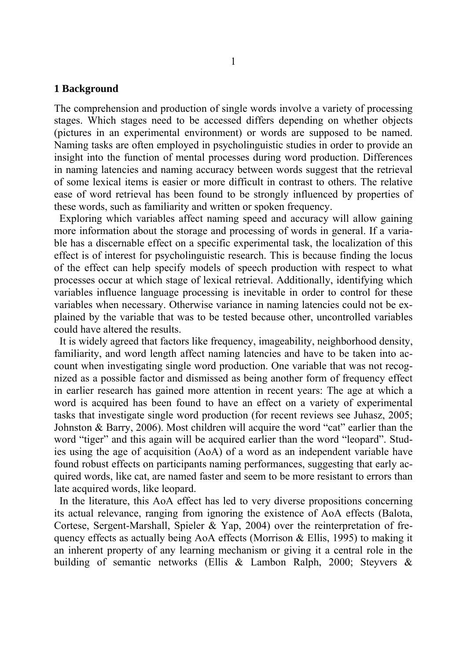#### **1 Background**

The comprehension and production of single words involve a variety of processing stages. Which stages need to be accessed differs depending on whether objects (pictures in an experimental environment) or words are supposed to be named. Naming tasks are often employed in psycholinguistic studies in order to provide an insight into the function of mental processes during word production. Differences in naming latencies and naming accuracy between words suggest that the retrieval of some lexical items is easier or more difficult in contrast to others. The relative ease of word retrieval has been found to be strongly influenced by properties of these words, such as familiarity and written or spoken frequency.

 Exploring which variables affect naming speed and accuracy will allow gaining more information about the storage and processing of words in general. If a variable has a discernable effect on a specific experimental task, the localization of this effect is of interest for psycholinguistic research. This is because finding the locus of the effect can help specify models of speech production with respect to what processes occur at which stage of lexical retrieval. Additionally, identifying which variables influence language processing is inevitable in order to control for these variables when necessary. Otherwise variance in naming latencies could not be explained by the variable that was to be tested because other, uncontrolled variables could have altered the results.

 It is widely agreed that factors like frequency, imageability, neighborhood density, familiarity, and word length affect naming latencies and have to be taken into account when investigating single word production. One variable that was not recognized as a possible factor and dismissed as being another form of frequency effect in earlier research has gained more attention in recent years: The age at which a word is acquired has been found to have an effect on a variety of experimental tasks that investigate single word production (for recent reviews see Juhasz, 2005; Johnston & Barry, 2006). Most children will acquire the word "cat" earlier than the word "tiger" and this again will be acquired earlier than the word "leopard". Studies using the age of acquisition (AoA) of a word as an independent variable have found robust effects on participants naming performances, suggesting that early acquired words, like cat, are named faster and seem to be more resistant to errors than late acquired words, like leopard.

 In the literature, this AoA effect has led to very diverse propositions concerning its actual relevance, ranging from ignoring the existence of AoA effects (Balota, Cortese, Sergent-Marshall, Spieler & Yap, 2004) over the reinterpretation of frequency effects as actually being AoA effects (Morrison & Ellis, 1995) to making it an inherent property of any learning mechanism or giving it a central role in the building of semantic networks (Ellis & Lambon Ralph, 2000; Steyvers &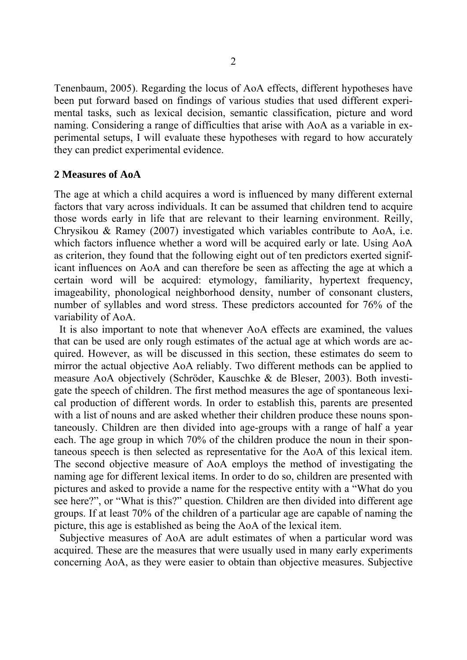Tenenbaum, 2005). Regarding the locus of AoA effects, different hypotheses have been put forward based on findings of various studies that used different experimental tasks, such as lexical decision, semantic classification, picture and word naming. Considering a range of difficulties that arise with AoA as a variable in experimental setups, I will evaluate these hypotheses with regard to how accurately they can predict experimental evidence.

#### **2 Measures of AoA**

The age at which a child acquires a word is influenced by many different external factors that vary across individuals. It can be assumed that children tend to acquire those words early in life that are relevant to their learning environment. Reilly, Chrysikou & Ramey (2007) investigated which variables contribute to AoA, i.e. which factors influence whether a word will be acquired early or late. Using AoA as criterion, they found that the following eight out of ten predictors exerted significant influences on AoA and can therefore be seen as affecting the age at which a certain word will be acquired: etymology, familiarity, hypertext frequency, imageability, phonological neighborhood density, number of consonant clusters, number of syllables and word stress. These predictors accounted for 76% of the variability of AoA.

 It is also important to note that whenever AoA effects are examined, the values that can be used are only rough estimates of the actual age at which words are acquired. However, as will be discussed in this section, these estimates do seem to mirror the actual objective AoA reliably. Two different methods can be applied to measure AoA objectively (Schröder, Kauschke & de Bleser, 2003). Both investigate the speech of children. The first method measures the age of spontaneous lexical production of different words. In order to establish this, parents are presented with a list of nouns and are asked whether their children produce these nouns spontaneously. Children are then divided into age-groups with a range of half a year each. The age group in which 70% of the children produce the noun in their spontaneous speech is then selected as representative for the AoA of this lexical item. The second objective measure of AoA employs the method of investigating the naming age for different lexical items. In order to do so, children are presented with pictures and asked to provide a name for the respective entity with a "What do you see here?", or "What is this?" question. Children are then divided into different age groups. If at least 70% of the children of a particular age are capable of naming the picture, this age is established as being the AoA of the lexical item.

 Subjective measures of AoA are adult estimates of when a particular word was acquired. These are the measures that were usually used in many early experiments concerning AoA, as they were easier to obtain than objective measures. Subjective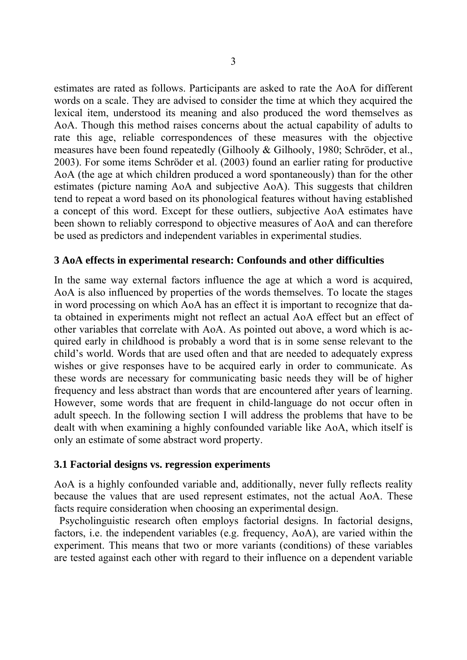estimates are rated as follows. Participants are asked to rate the AoA for different words on a scale. They are advised to consider the time at which they acquired the lexical item, understood its meaning and also produced the word themselves as AoA. Though this method raises concerns about the actual capability of adults to rate this age, reliable correspondences of these measures with the objective measures have been found repeatedly (Gilhooly & Gilhooly, 1980; Schröder, et al., 2003). For some items Schröder et al. (2003) found an earlier rating for productive AoA (the age at which children produced a word spontaneously) than for the other estimates (picture naming AoA and subjective AoA). This suggests that children tend to repeat a word based on its phonological features without having established a concept of this word. Except for these outliers, subjective AoA estimates have been shown to reliably correspond to objective measures of AoA and can therefore be used as predictors and independent variables in experimental studies.

## **3 AoA effects in experimental research: Confounds and other difficulties**

In the same way external factors influence the age at which a word is acquired, AoA is also influenced by properties of the words themselves. To locate the stages in word processing on which AoA has an effect it is important to recognize that data obtained in experiments might not reflect an actual AoA effect but an effect of other variables that correlate with AoA. As pointed out above, a word which is acquired early in childhood is probably a word that is in some sense relevant to the child's world. Words that are used often and that are needed to adequately express wishes or give responses have to be acquired early in order to communicate. As these words are necessary for communicating basic needs they will be of higher frequency and less abstract than words that are encountered after years of learning. However, some words that are frequent in child-language do not occur often in adult speech. In the following section I will address the problems that have to be dealt with when examining a highly confounded variable like AoA, which itself is only an estimate of some abstract word property.

## **3.1 Factorial designs vs. regression experiments**

AoA is a highly confounded variable and, additionally, never fully reflects reality because the values that are used represent estimates, not the actual AoA. These facts require consideration when choosing an experimental design.

 Psycholinguistic research often employs factorial designs. In factorial designs, factors, i.e. the independent variables (e.g. frequency, AoA), are varied within the experiment. This means that two or more variants (conditions) of these variables are tested against each other with regard to their influence on a dependent variable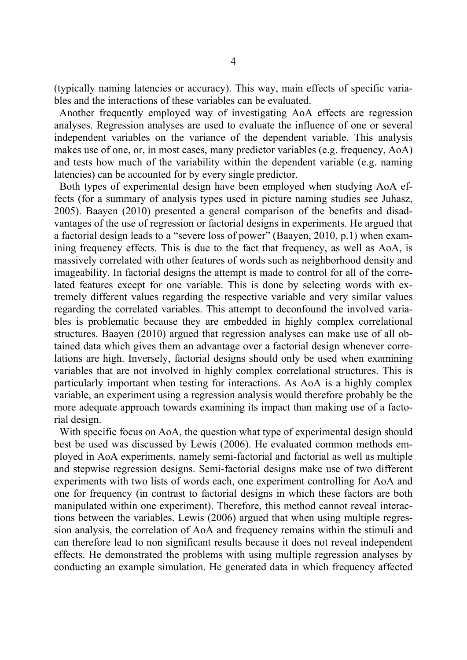(typically naming latencies or accuracy). This way, main effects of specific variables and the interactions of these variables can be evaluated.

 Another frequently employed way of investigating AoA effects are regression analyses. Regression analyses are used to evaluate the influence of one or several independent variables on the variance of the dependent variable. This analysis makes use of one, or, in most cases, many predictor variables (e.g. frequency, AoA) and tests how much of the variability within the dependent variable (e.g. naming latencies) can be accounted for by every single predictor.

 Both types of experimental design have been employed when studying AoA effects (for a summary of analysis types used in picture naming studies see Juhasz, 2005). Baayen (2010) presented a general comparison of the benefits and disadvantages of the use of regression or factorial designs in experiments. He argued that a factorial design leads to a "severe loss of power" (Baayen, 2010, p.1) when examining frequency effects. This is due to the fact that frequency, as well as AoA, is massively correlated with other features of words such as neighborhood density and imageability. In factorial designs the attempt is made to control for all of the correlated features except for one variable. This is done by selecting words with extremely different values regarding the respective variable and very similar values regarding the correlated variables. This attempt to deconfound the involved variables is problematic because they are embedded in highly complex correlational structures. Baayen (2010) argued that regression analyses can make use of all obtained data which gives them an advantage over a factorial design whenever correlations are high. Inversely, factorial designs should only be used when examining variables that are not involved in highly complex correlational structures. This is particularly important when testing for interactions. As AoA is a highly complex variable, an experiment using a regression analysis would therefore probably be the more adequate approach towards examining its impact than making use of a factorial design.

With specific focus on AoA, the question what type of experimental design should best be used was discussed by Lewis (2006). He evaluated common methods employed in AoA experiments, namely semi-factorial and factorial as well as multiple and stepwise regression designs. Semi-factorial designs make use of two different experiments with two lists of words each, one experiment controlling for AoA and one for frequency (in contrast to factorial designs in which these factors are both manipulated within one experiment). Therefore, this method cannot reveal interactions between the variables. Lewis (2006) argued that when using multiple regression analysis, the correlation of AoA and frequency remains within the stimuli and can therefore lead to non significant results because it does not reveal independent effects. He demonstrated the problems with using multiple regression analyses by conducting an example simulation. He generated data in which frequency affected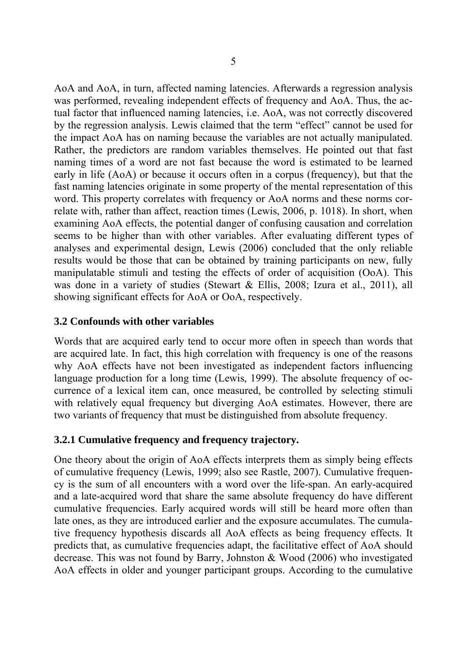AoA and AoA, in turn, affected naming latencies. Afterwards a regression analysis was performed, revealing independent effects of frequency and AoA. Thus, the actual factor that influenced naming latencies, i.e. AoA, was not correctly discovered by the regression analysis. Lewis claimed that the term "effect" cannot be used for the impact AoA has on naming because the variables are not actually manipulated. Rather, the predictors are random variables themselves. He pointed out that fast naming times of a word are not fast because the word is estimated to be learned early in life (AoA) or because it occurs often in a corpus (frequency), but that the fast naming latencies originate in some property of the mental representation of this word. This property correlates with frequency or AoA norms and these norms correlate with, rather than affect, reaction times (Lewis, 2006, p. 1018). In short, when examining AoA effects, the potential danger of confusing causation and correlation seems to be higher than with other variables. After evaluating different types of analyses and experimental design, Lewis (2006) concluded that the only reliable results would be those that can be obtained by training participants on new, fully manipulatable stimuli and testing the effects of order of acquisition (OoA). This was done in a variety of studies (Stewart & Ellis, 2008; Izura et al., 2011), all showing significant effects for AoA or OoA, respectively.

## **3.2 Confounds with other variables**

Words that are acquired early tend to occur more often in speech than words that are acquired late. In fact, this high correlation with frequency is one of the reasons why AoA effects have not been investigated as independent factors influencing language production for a long time (Lewis, 1999). The absolute frequency of occurrence of a lexical item can, once measured, be controlled by selecting stimuli with relatively equal frequency but diverging AoA estimates. However, there are two variants of frequency that must be distinguished from absolute frequency.

## **3.2.1 Cumulative frequency and frequency trajectory.**

One theory about the origin of AoA effects interprets them as simply being effects of cumulative frequency (Lewis, 1999; also see Rastle, 2007). Cumulative frequency is the sum of all encounters with a word over the life-span. An early-acquired and a late-acquired word that share the same absolute frequency do have different cumulative frequencies. Early acquired words will still be heard more often than late ones, as they are introduced earlier and the exposure accumulates. The cumulative frequency hypothesis discards all AoA effects as being frequency effects. It predicts that, as cumulative frequencies adapt, the facilitative effect of AoA should decrease. This was not found by Barry, Johnston & Wood (2006) who investigated AoA effects in older and younger participant groups. According to the cumulative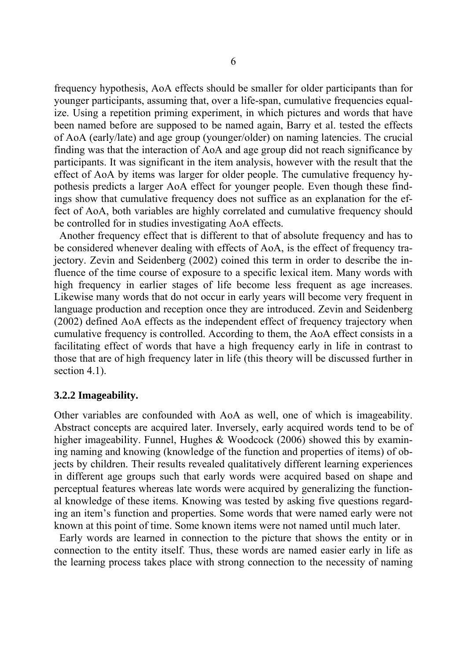frequency hypothesis, AoA effects should be smaller for older participants than for younger participants, assuming that, over a life-span, cumulative frequencies equalize. Using a repetition priming experiment, in which pictures and words that have been named before are supposed to be named again, Barry et al. tested the effects of AoA (early/late) and age group (younger/older) on naming latencies. The crucial finding was that the interaction of AoA and age group did not reach significance by participants. It was significant in the item analysis, however with the result that the effect of AoA by items was larger for older people. The cumulative frequency hypothesis predicts a larger AoA effect for younger people. Even though these findings show that cumulative frequency does not suffice as an explanation for the effect of AoA, both variables are highly correlated and cumulative frequency should be controlled for in studies investigating AoA effects.

 Another frequency effect that is different to that of absolute frequency and has to be considered whenever dealing with effects of AoA, is the effect of frequency trajectory. Zevin and Seidenberg (2002) coined this term in order to describe the influence of the time course of exposure to a specific lexical item. Many words with high frequency in earlier stages of life become less frequent as age increases. Likewise many words that do not occur in early years will become very frequent in language production and reception once they are introduced. Zevin and Seidenberg (2002) defined AoA effects as the independent effect of frequency trajectory when cumulative frequency is controlled. According to them, the AoA effect consists in a facilitating effect of words that have a high frequency early in life in contrast to those that are of high frequency later in life (this theory will be discussed further in section 4.1).

#### **3.2.2 Imageability.**

Other variables are confounded with AoA as well, one of which is imageability. Abstract concepts are acquired later. Inversely, early acquired words tend to be of higher imageability. Funnel, Hughes & Woodcock (2006) showed this by examining naming and knowing (knowledge of the function and properties of items) of objects by children. Their results revealed qualitatively different learning experiences in different age groups such that early words were acquired based on shape and perceptual features whereas late words were acquired by generalizing the functional knowledge of these items. Knowing was tested by asking five questions regarding an item's function and properties. Some words that were named early were not known at this point of time. Some known items were not named until much later.

 Early words are learned in connection to the picture that shows the entity or in connection to the entity itself. Thus, these words are named easier early in life as the learning process takes place with strong connection to the necessity of naming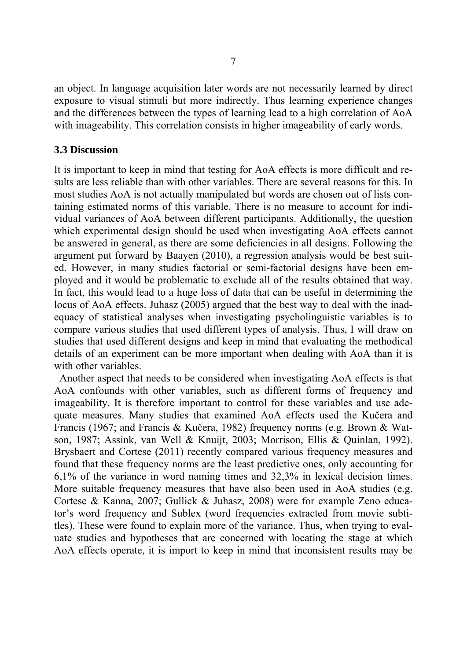an object. In language acquisition later words are not necessarily learned by direct exposure to visual stimuli but more indirectly. Thus learning experience changes and the differences between the types of learning lead to a high correlation of AoA with imageability. This correlation consists in higher imageability of early words.

#### **3.3 Discussion**

It is important to keep in mind that testing for AoA effects is more difficult and results are less reliable than with other variables. There are several reasons for this. In most studies AoA is not actually manipulated but words are chosen out of lists containing estimated norms of this variable. There is no measure to account for individual variances of AoA between different participants. Additionally, the question which experimental design should be used when investigating AoA effects cannot be answered in general, as there are some deficiencies in all designs. Following the argument put forward by Baayen (2010), a regression analysis would be best suited. However, in many studies factorial or semi-factorial designs have been employed and it would be problematic to exclude all of the results obtained that way. In fact, this would lead to a huge loss of data that can be useful in determining the locus of AoA effects. Juhasz (2005) argued that the best way to deal with the inadequacy of statistical analyses when investigating psycholinguistic variables is to compare various studies that used different types of analysis. Thus, I will draw on studies that used different designs and keep in mind that evaluating the methodical details of an experiment can be more important when dealing with AoA than it is with other variables.

 Another aspect that needs to be considered when investigating AoA effects is that AoA confounds with other variables, such as different forms of frequency and imageability. It is therefore important to control for these variables and use adequate measures. Many studies that examined AoA effects used the Kučera and Francis (1967; and Francis & Kučera, 1982) frequency norms (e.g. Brown & Watson, 1987; Assink, van Well & Knuijt, 2003; Morrison, Ellis & Quinlan, 1992). Brysbaert and Cortese (2011) recently compared various frequency measures and found that these frequency norms are the least predictive ones, only accounting for 6,1% of the variance in word naming times and 32,3% in lexical decision times. More suitable frequency measures that have also been used in AoA studies (e.g. Cortese & Kanna, 2007; Gullick & Juhasz, 2008) were for example Zeno educator's word frequency and Sublex (word frequencies extracted from movie subtitles). These were found to explain more of the variance. Thus, when trying to evaluate studies and hypotheses that are concerned with locating the stage at which AoA effects operate, it is import to keep in mind that inconsistent results may be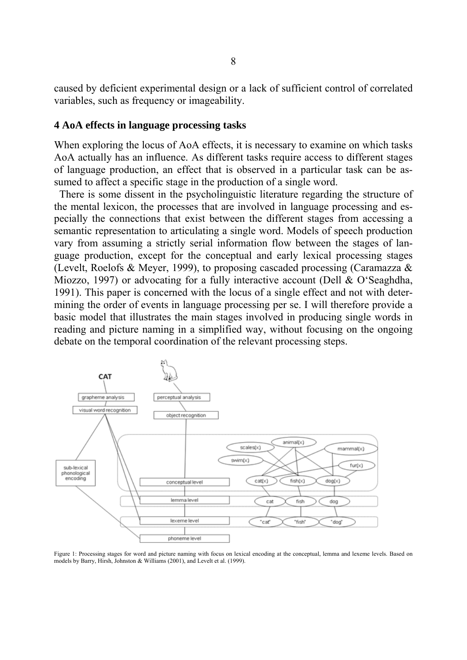caused by deficient experimental design or a lack of sufficient control of correlated variables, such as frequency or imageability.

#### **4 AoA effects in language processing tasks**

When exploring the locus of AoA effects, it is necessary to examine on which tasks AoA actually has an influence. As different tasks require access to different stages of language production, an effect that is observed in a particular task can be assumed to affect a specific stage in the production of a single word.

 There is some dissent in the psycholinguistic literature regarding the structure of the mental lexicon, the processes that are involved in language processing and especially the connections that exist between the different stages from accessing a semantic representation to articulating a single word. Models of speech production vary from assuming a strictly serial information flow between the stages of language production, except for the conceptual and early lexical processing stages (Levelt, Roelofs & Meyer, 1999), to proposing cascaded processing (Caramazza & Miozzo, 1997) or advocating for a fully interactive account (Dell & O'Seaghdha, 1991). This paper is concerned with the locus of a single effect and not with determining the order of events in language processing per se. I will therefore provide a basic model that illustrates the main stages involved in producing single words in reading and picture naming in a simplified way, without focusing on the ongoing debate on the temporal coordination of the relevant processing steps.



Figure 1: Processing stages for word and picture naming with focus on lexical encoding at the conceptual, lemma and lexeme levels. Based on models by Barry, Hirsh, Johnston & Williams (2001), and Levelt et al. (1999).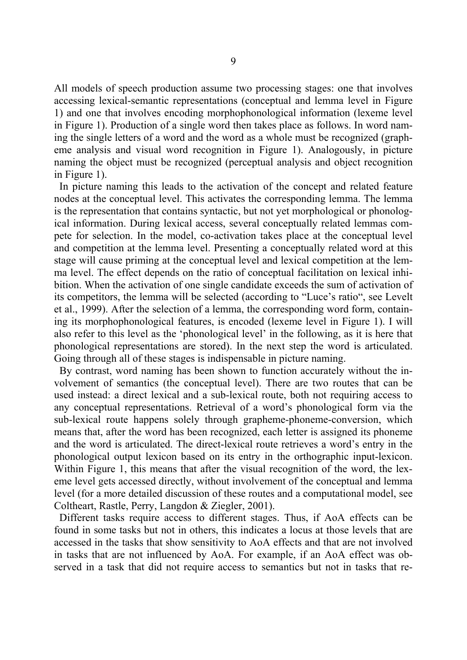All models of speech production assume two processing stages: one that involves accessing lexical-semantic representations (conceptual and lemma level in Figure 1) and one that involves encoding morphophonological information (lexeme level in Figure 1). Production of a single word then takes place as follows. In word naming the single letters of a word and the word as a whole must be recognized (grapheme analysis and visual word recognition in Figure 1). Analogously, in picture naming the object must be recognized (perceptual analysis and object recognition in Figure 1).

 In picture naming this leads to the activation of the concept and related feature nodes at the conceptual level. This activates the corresponding lemma. The lemma is the representation that contains syntactic, but not yet morphological or phonological information. During lexical access, several conceptually related lemmas compete for selection. In the model, co-activation takes place at the conceptual level and competition at the lemma level. Presenting a conceptually related word at this stage will cause priming at the conceptual level and lexical competition at the lemma level. The effect depends on the ratio of conceptual facilitation on lexical inhibition. When the activation of one single candidate exceeds the sum of activation of its competitors, the lemma will be selected (according to "Luce's ratio", see Levelt et al., 1999). After the selection of a lemma, the corresponding word form, containing its morphophonological features, is encoded (lexeme level in Figure 1). I will also refer to this level as the 'phonological level' in the following, as it is here that phonological representations are stored). In the next step the word is articulated. Going through all of these stages is indispensable in picture naming.

 By contrast, word naming has been shown to function accurately without the involvement of semantics (the conceptual level). There are two routes that can be used instead: a direct lexical and a sub-lexical route, both not requiring access to any conceptual representations. Retrieval of a word's phonological form via the sub-lexical route happens solely through grapheme-phoneme-conversion, which means that, after the word has been recognized, each letter is assigned its phoneme and the word is articulated. The direct-lexical route retrieves a word's entry in the phonological output lexicon based on its entry in the orthographic input-lexicon. Within Figure 1, this means that after the visual recognition of the word, the lexeme level gets accessed directly, without involvement of the conceptual and lemma level (for a more detailed discussion of these routes and a computational model, see Coltheart, Rastle, Perry, Langdon & Ziegler, 2001).

 Different tasks require access to different stages. Thus, if AoA effects can be found in some tasks but not in others, this indicates a locus at those levels that are accessed in the tasks that show sensitivity to AoA effects and that are not involved in tasks that are not influenced by AoA. For example, if an AoA effect was observed in a task that did not require access to semantics but not in tasks that re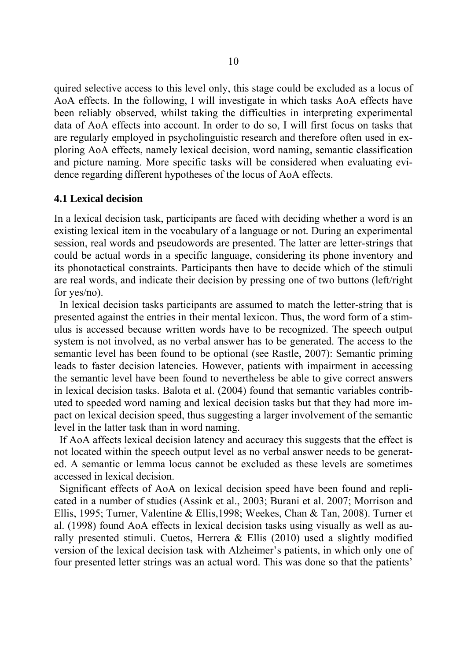quired selective access to this level only, this stage could be excluded as a locus of AoA effects. In the following, I will investigate in which tasks AoA effects have been reliably observed, whilst taking the difficulties in interpreting experimental data of AoA effects into account. In order to do so, I will first focus on tasks that are regularly employed in psycholinguistic research and therefore often used in exploring AoA effects, namely lexical decision, word naming, semantic classification and picture naming. More specific tasks will be considered when evaluating evidence regarding different hypotheses of the locus of AoA effects.

#### **4.1 Lexical decision**

In a lexical decision task, participants are faced with deciding whether a word is an existing lexical item in the vocabulary of a language or not. During an experimental session, real words and pseudowords are presented. The latter are letter-strings that could be actual words in a specific language, considering its phone inventory and its phonotactical constraints. Participants then have to decide which of the stimuli are real words, and indicate their decision by pressing one of two buttons (left/right for yes/no).

 In lexical decision tasks participants are assumed to match the letter-string that is presented against the entries in their mental lexicon. Thus, the word form of a stimulus is accessed because written words have to be recognized. The speech output system is not involved, as no verbal answer has to be generated. The access to the semantic level has been found to be optional (see Rastle, 2007): Semantic priming leads to faster decision latencies. However, patients with impairment in accessing the semantic level have been found to nevertheless be able to give correct answers in lexical decision tasks. Balota et al. (2004) found that semantic variables contributed to speeded word naming and lexical decision tasks but that they had more impact on lexical decision speed, thus suggesting a larger involvement of the semantic level in the latter task than in word naming.

 If AoA affects lexical decision latency and accuracy this suggests that the effect is not located within the speech output level as no verbal answer needs to be generated. A semantic or lemma locus cannot be excluded as these levels are sometimes accessed in lexical decision.

 Significant effects of AoA on lexical decision speed have been found and replicated in a number of studies (Assink et al., 2003; Burani et al. 2007; Morrison and Ellis, 1995; Turner, Valentine & Ellis,1998; Weekes, Chan & Tan, 2008). Turner et al. (1998) found AoA effects in lexical decision tasks using visually as well as aurally presented stimuli. Cuetos, Herrera & Ellis (2010) used a slightly modified version of the lexical decision task with Alzheimer's patients, in which only one of four presented letter strings was an actual word. This was done so that the patients'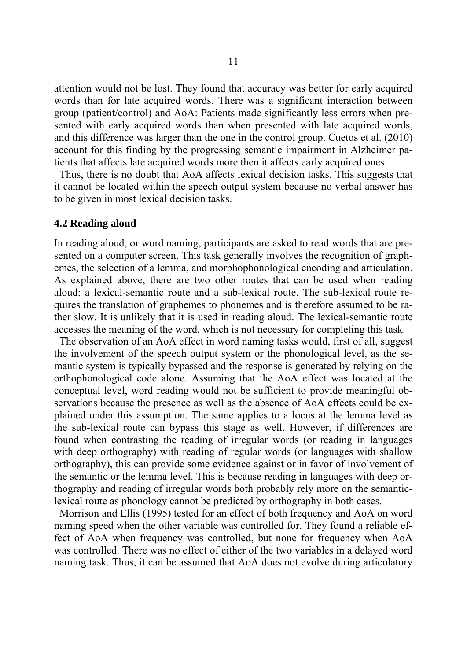attention would not be lost. They found that accuracy was better for early acquired words than for late acquired words. There was a significant interaction between group (patient/control) and AoA: Patients made significantly less errors when presented with early acquired words than when presented with late acquired words, and this difference was larger than the one in the control group. Cuetos et al. (2010) account for this finding by the progressing semantic impairment in Alzheimer patients that affects late acquired words more then it affects early acquired ones.

 Thus, there is no doubt that AoA affects lexical decision tasks. This suggests that it cannot be located within the speech output system because no verbal answer has to be given in most lexical decision tasks.

#### **4.2 Reading aloud**

In reading aloud, or word naming, participants are asked to read words that are presented on a computer screen. This task generally involves the recognition of graphemes, the selection of a lemma, and morphophonological encoding and articulation. As explained above, there are two other routes that can be used when reading aloud: a lexical-semantic route and a sub-lexical route. The sub-lexical route requires the translation of graphemes to phonemes and is therefore assumed to be rather slow. It is unlikely that it is used in reading aloud. The lexical-semantic route accesses the meaning of the word, which is not necessary for completing this task.

 The observation of an AoA effect in word naming tasks would, first of all, suggest the involvement of the speech output system or the phonological level, as the semantic system is typically bypassed and the response is generated by relying on the orthophonological code alone. Assuming that the AoA effect was located at the conceptual level, word reading would not be sufficient to provide meaningful observations because the presence as well as the absence of AoA effects could be explained under this assumption. The same applies to a locus at the lemma level as the sub-lexical route can bypass this stage as well. However, if differences are found when contrasting the reading of irregular words (or reading in languages with deep orthography) with reading of regular words (or languages with shallow orthography), this can provide some evidence against or in favor of involvement of the semantic or the lemma level. This is because reading in languages with deep orthography and reading of irregular words both probably rely more on the semanticlexical route as phonology cannot be predicted by orthography in both cases.

 Morrison and Ellis (1995) tested for an effect of both frequency and AoA on word naming speed when the other variable was controlled for. They found a reliable effect of AoA when frequency was controlled, but none for frequency when AoA was controlled. There was no effect of either of the two variables in a delayed word naming task. Thus, it can be assumed that AoA does not evolve during articulatory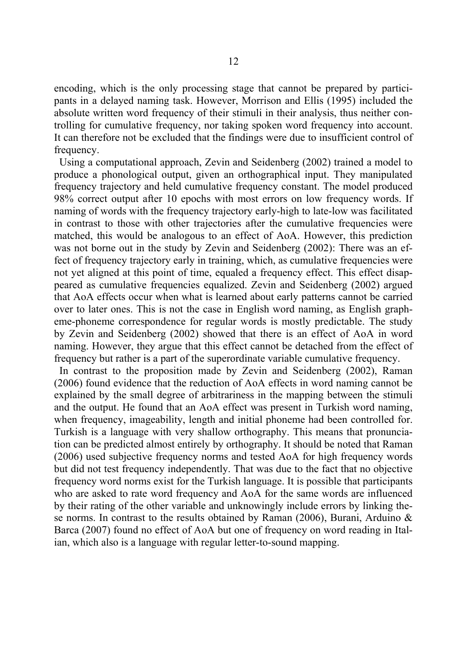encoding, which is the only processing stage that cannot be prepared by participants in a delayed naming task. However, Morrison and Ellis (1995) included the absolute written word frequency of their stimuli in their analysis, thus neither controlling for cumulative frequency, nor taking spoken word frequency into account. It can therefore not be excluded that the findings were due to insufficient control of frequency.

 Using a computational approach, Zevin and Seidenberg (2002) trained a model to produce a phonological output, given an orthographical input. They manipulated frequency trajectory and held cumulative frequency constant. The model produced 98% correct output after 10 epochs with most errors on low frequency words. If naming of words with the frequency trajectory early-high to late-low was facilitated in contrast to those with other trajectories after the cumulative frequencies were matched, this would be analogous to an effect of AoA. However, this prediction was not borne out in the study by Zevin and Seidenberg (2002): There was an effect of frequency trajectory early in training, which, as cumulative frequencies were not yet aligned at this point of time, equaled a frequency effect. This effect disappeared as cumulative frequencies equalized. Zevin and Seidenberg (2002) argued that AoA effects occur when what is learned about early patterns cannot be carried over to later ones. This is not the case in English word naming, as English grapheme-phoneme correspondence for regular words is mostly predictable. The study by Zevin and Seidenberg (2002) showed that there is an effect of AoA in word naming. However, they argue that this effect cannot be detached from the effect of frequency but rather is a part of the superordinate variable cumulative frequency.

 In contrast to the proposition made by Zevin and Seidenberg (2002), Raman (2006) found evidence that the reduction of AoA effects in word naming cannot be explained by the small degree of arbitrariness in the mapping between the stimuli and the output. He found that an AoA effect was present in Turkish word naming, when frequency, imageability, length and initial phoneme had been controlled for. Turkish is a language with very shallow orthography. This means that pronunciation can be predicted almost entirely by orthography. It should be noted that Raman (2006) used subjective frequency norms and tested AoA for high frequency words but did not test frequency independently. That was due to the fact that no objective frequency word norms exist for the Turkish language. It is possible that participants who are asked to rate word frequency and AoA for the same words are influenced by their rating of the other variable and unknowingly include errors by linking these norms. In contrast to the results obtained by Raman (2006), Burani, Arduino & Barca (2007) found no effect of AoA but one of frequency on word reading in Italian, which also is a language with regular letter-to-sound mapping.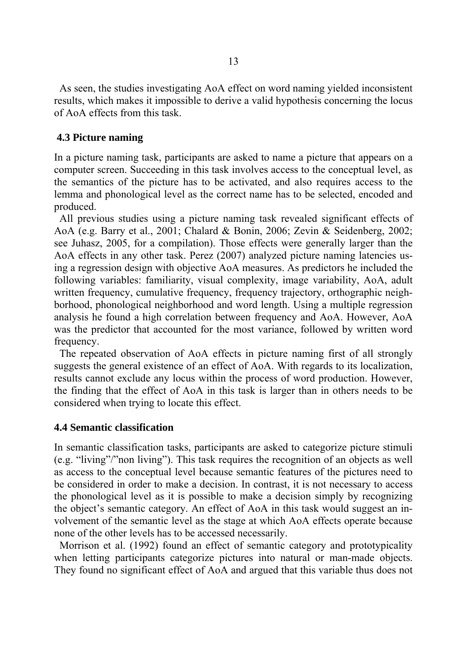As seen, the studies investigating AoA effect on word naming yielded inconsistent results, which makes it impossible to derive a valid hypothesis concerning the locus of AoA effects from this task.

## **4.3 Picture naming**

In a picture naming task, participants are asked to name a picture that appears on a computer screen. Succeeding in this task involves access to the conceptual level, as the semantics of the picture has to be activated, and also requires access to the lemma and phonological level as the correct name has to be selected, encoded and produced.

 All previous studies using a picture naming task revealed significant effects of AoA (e.g. Barry et al., 2001; Chalard & Bonin, 2006; Zevin & Seidenberg, 2002; see Juhasz, 2005, for a compilation). Those effects were generally larger than the AoA effects in any other task. Perez (2007) analyzed picture naming latencies using a regression design with objective AoA measures. As predictors he included the following variables: familiarity, visual complexity, image variability, AoA, adult written frequency, cumulative frequency, frequency trajectory, orthographic neighborhood, phonological neighborhood and word length. Using a multiple regression analysis he found a high correlation between frequency and AoA. However, AoA was the predictor that accounted for the most variance, followed by written word frequency.

 The repeated observation of AoA effects in picture naming first of all strongly suggests the general existence of an effect of AoA. With regards to its localization, results cannot exclude any locus within the process of word production. However, the finding that the effect of AoA in this task is larger than in others needs to be considered when trying to locate this effect.

## **4.4 Semantic classification**

In semantic classification tasks, participants are asked to categorize picture stimuli (e.g. "living"/"non living"). This task requires the recognition of an objects as well as access to the conceptual level because semantic features of the pictures need to be considered in order to make a decision. In contrast, it is not necessary to access the phonological level as it is possible to make a decision simply by recognizing the object's semantic category. An effect of AoA in this task would suggest an involvement of the semantic level as the stage at which AoA effects operate because none of the other levels has to be accessed necessarily.

 Morrison et al. (1992) found an effect of semantic category and prototypicality when letting participants categorize pictures into natural or man-made objects. They found no significant effect of AoA and argued that this variable thus does not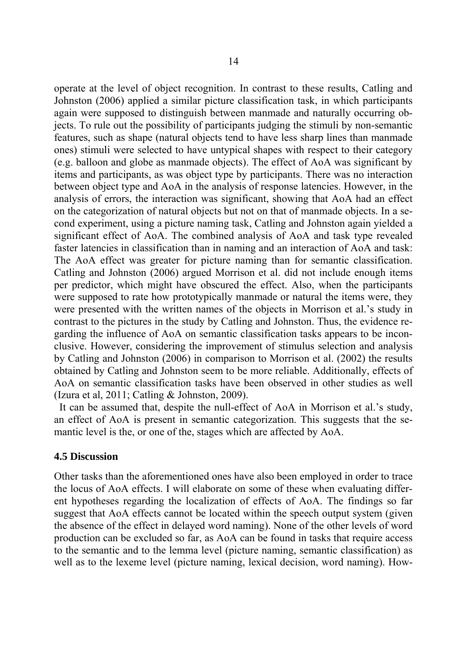operate at the level of object recognition. In contrast to these results, Catling and Johnston (2006) applied a similar picture classification task, in which participants again were supposed to distinguish between manmade and naturally occurring objects. To rule out the possibility of participants judging the stimuli by non-semantic features, such as shape (natural objects tend to have less sharp lines than manmade ones) stimuli were selected to have untypical shapes with respect to their category (e.g. balloon and globe as manmade objects). The effect of AoA was significant by items and participants, as was object type by participants. There was no interaction between object type and AoA in the analysis of response latencies. However, in the analysis of errors, the interaction was significant, showing that AoA had an effect on the categorization of natural objects but not on that of manmade objects. In a second experiment, using a picture naming task, Catling and Johnston again yielded a significant effect of AoA. The combined analysis of AoA and task type revealed faster latencies in classification than in naming and an interaction of AoA and task: The AoA effect was greater for picture naming than for semantic classification. Catling and Johnston (2006) argued Morrison et al. did not include enough items per predictor, which might have obscured the effect. Also, when the participants were supposed to rate how prototypically manmade or natural the items were, they were presented with the written names of the objects in Morrison et al.'s study in contrast to the pictures in the study by Catling and Johnston. Thus, the evidence regarding the influence of AoA on semantic classification tasks appears to be inconclusive. However, considering the improvement of stimulus selection and analysis by Catling and Johnston (2006) in comparison to Morrison et al. (2002) the results obtained by Catling and Johnston seem to be more reliable. Additionally, effects of AoA on semantic classification tasks have been observed in other studies as well (Izura et al, 2011; Catling & Johnston, 2009).

 It can be assumed that, despite the null-effect of AoA in Morrison et al.'s study, an effect of AoA is present in semantic categorization. This suggests that the semantic level is the, or one of the, stages which are affected by AoA.

## **4.5 Discussion**

Other tasks than the aforementioned ones have also been employed in order to trace the locus of AoA effects. I will elaborate on some of these when evaluating different hypotheses regarding the localization of effects of AoA. The findings so far suggest that AoA effects cannot be located within the speech output system (given the absence of the effect in delayed word naming). None of the other levels of word production can be excluded so far, as AoA can be found in tasks that require access to the semantic and to the lemma level (picture naming, semantic classification) as well as to the lexeme level (picture naming, lexical decision, word naming). How-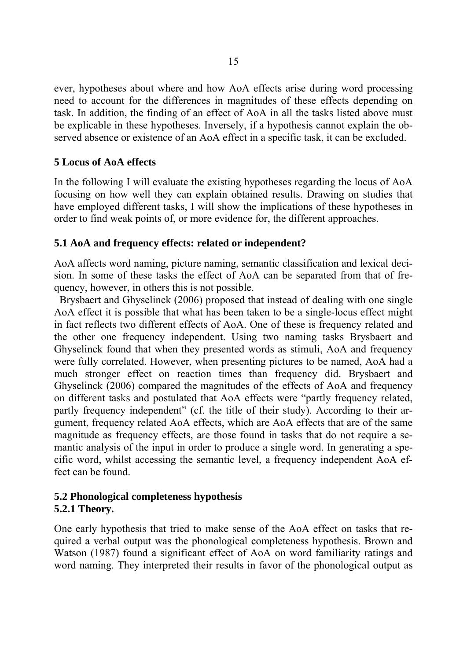ever, hypotheses about where and how AoA effects arise during word processing need to account for the differences in magnitudes of these effects depending on task. In addition, the finding of an effect of AoA in all the tasks listed above must be explicable in these hypotheses. Inversely, if a hypothesis cannot explain the observed absence or existence of an AoA effect in a specific task, it can be excluded.

## **5 Locus of AoA effects**

In the following I will evaluate the existing hypotheses regarding the locus of AoA focusing on how well they can explain obtained results. Drawing on studies that have employed different tasks, I will show the implications of these hypotheses in order to find weak points of, or more evidence for, the different approaches.

## **5.1 AoA and frequency effects: related or independent?**

AoA affects word naming, picture naming, semantic classification and lexical decision. In some of these tasks the effect of AoA can be separated from that of frequency, however, in others this is not possible.

 Brysbaert and Ghyselinck (2006) proposed that instead of dealing with one single AoA effect it is possible that what has been taken to be a single-locus effect might in fact reflects two different effects of AoA. One of these is frequency related and the other one frequency independent. Using two naming tasks Brysbaert and Ghyselinck found that when they presented words as stimuli, AoA and frequency were fully correlated. However, when presenting pictures to be named, AoA had a much stronger effect on reaction times than frequency did. Brysbaert and Ghyselinck (2006) compared the magnitudes of the effects of AoA and frequency on different tasks and postulated that AoA effects were "partly frequency related, partly frequency independent" (cf. the title of their study). According to their argument, frequency related AoA effects, which are AoA effects that are of the same magnitude as frequency effects, are those found in tasks that do not require a semantic analysis of the input in order to produce a single word. In generating a specific word, whilst accessing the semantic level, a frequency independent AoA effect can be found.

## **5.2 Phonological completeness hypothesis 5.2.1 Theory.**

One early hypothesis that tried to make sense of the AoA effect on tasks that required a verbal output was the phonological completeness hypothesis. Brown and Watson (1987) found a significant effect of AoA on word familiarity ratings and word naming. They interpreted their results in favor of the phonological output as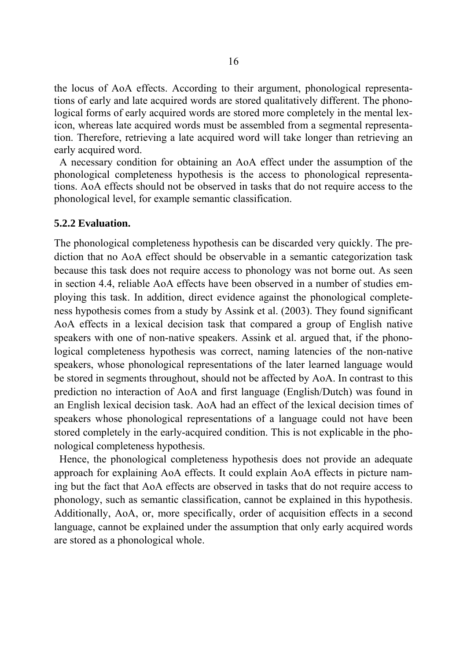the locus of AoA effects. According to their argument, phonological representations of early and late acquired words are stored qualitatively different. The phonological forms of early acquired words are stored more completely in the mental lexicon, whereas late acquired words must be assembled from a segmental representation. Therefore, retrieving a late acquired word will take longer than retrieving an early acquired word.

 A necessary condition for obtaining an AoA effect under the assumption of the phonological completeness hypothesis is the access to phonological representations. AoA effects should not be observed in tasks that do not require access to the phonological level, for example semantic classification.

#### **5.2.2 Evaluation.**

The phonological completeness hypothesis can be discarded very quickly. The prediction that no AoA effect should be observable in a semantic categorization task because this task does not require access to phonology was not borne out. As seen in section 4.4, reliable AoA effects have been observed in a number of studies employing this task. In addition, direct evidence against the phonological completeness hypothesis comes from a study by Assink et al. (2003). They found significant AoA effects in a lexical decision task that compared a group of English native speakers with one of non-native speakers. Assink et al. argued that, if the phonological completeness hypothesis was correct, naming latencies of the non-native speakers, whose phonological representations of the later learned language would be stored in segments throughout, should not be affected by AoA. In contrast to this prediction no interaction of AoA and first language (English/Dutch) was found in an English lexical decision task. AoA had an effect of the lexical decision times of speakers whose phonological representations of a language could not have been stored completely in the early-acquired condition. This is not explicable in the phonological completeness hypothesis.

 Hence, the phonological completeness hypothesis does not provide an adequate approach for explaining AoA effects. It could explain AoA effects in picture naming but the fact that AoA effects are observed in tasks that do not require access to phonology, such as semantic classification, cannot be explained in this hypothesis. Additionally, AoA, or, more specifically, order of acquisition effects in a second language, cannot be explained under the assumption that only early acquired words are stored as a phonological whole.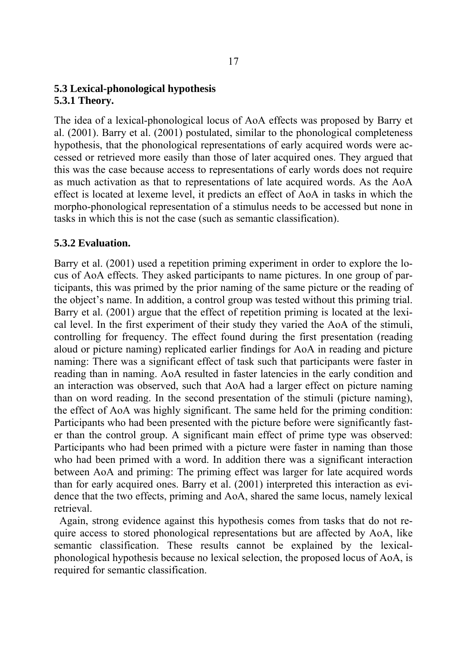## **5.3 Lexical-phonological hypothesis 5.3.1 Theory.**

The idea of a lexical-phonological locus of AoA effects was proposed by Barry et al. (2001). Barry et al. (2001) postulated, similar to the phonological completeness hypothesis, that the phonological representations of early acquired words were accessed or retrieved more easily than those of later acquired ones. They argued that this was the case because access to representations of early words does not require as much activation as that to representations of late acquired words. As the AoA effect is located at lexeme level, it predicts an effect of AoA in tasks in which the morpho-phonological representation of a stimulus needs to be accessed but none in tasks in which this is not the case (such as semantic classification).

## **5.3.2 Evaluation.**

Barry et al. (2001) used a repetition priming experiment in order to explore the locus of AoA effects. They asked participants to name pictures. In one group of participants, this was primed by the prior naming of the same picture or the reading of the object's name. In addition, a control group was tested without this priming trial. Barry et al. (2001) argue that the effect of repetition priming is located at the lexical level. In the first experiment of their study they varied the AoA of the stimuli, controlling for frequency. The effect found during the first presentation (reading aloud or picture naming) replicated earlier findings for AoA in reading and picture naming: There was a significant effect of task such that participants were faster in reading than in naming. AoA resulted in faster latencies in the early condition and an interaction was observed, such that AoA had a larger effect on picture naming than on word reading. In the second presentation of the stimuli (picture naming), the effect of AoA was highly significant. The same held for the priming condition: Participants who had been presented with the picture before were significantly faster than the control group. A significant main effect of prime type was observed: Participants who had been primed with a picture were faster in naming than those who had been primed with a word. In addition there was a significant interaction between AoA and priming: The priming effect was larger for late acquired words than for early acquired ones. Barry et al. (2001) interpreted this interaction as evidence that the two effects, priming and AoA, shared the same locus, namely lexical retrieval.

 Again, strong evidence against this hypothesis comes from tasks that do not require access to stored phonological representations but are affected by AoA, like semantic classification. These results cannot be explained by the lexicalphonological hypothesis because no lexical selection, the proposed locus of AoA, is required for semantic classification.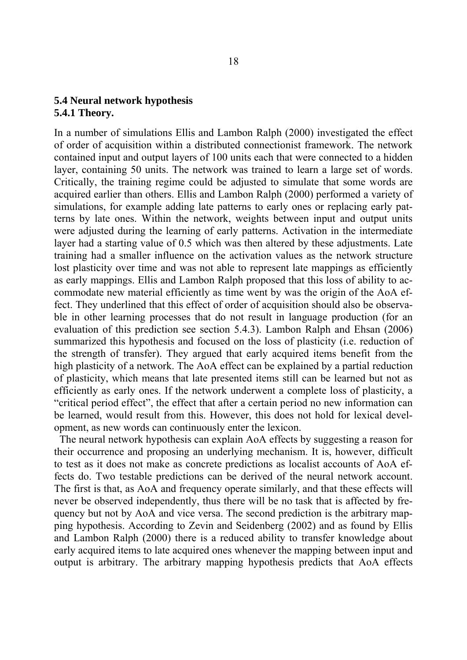## **5.4 Neural network hypothesis 5.4.1 Theory.**

In a number of simulations Ellis and Lambon Ralph (2000) investigated the effect of order of acquisition within a distributed connectionist framework. The network contained input and output layers of 100 units each that were connected to a hidden layer, containing 50 units. The network was trained to learn a large set of words. Critically, the training regime could be adjusted to simulate that some words are acquired earlier than others. Ellis and Lambon Ralph (2000) performed a variety of simulations, for example adding late patterns to early ones or replacing early patterns by late ones. Within the network, weights between input and output units were adjusted during the learning of early patterns. Activation in the intermediate layer had a starting value of 0.5 which was then altered by these adjustments. Late training had a smaller influence on the activation values as the network structure lost plasticity over time and was not able to represent late mappings as efficiently as early mappings. Ellis and Lambon Ralph proposed that this loss of ability to accommodate new material efficiently as time went by was the origin of the AoA effect. They underlined that this effect of order of acquisition should also be observable in other learning processes that do not result in language production (for an evaluation of this prediction see section 5.4.3). Lambon Ralph and Ehsan (2006) summarized this hypothesis and focused on the loss of plasticity (i.e. reduction of the strength of transfer). They argued that early acquired items benefit from the high plasticity of a network. The AoA effect can be explained by a partial reduction of plasticity, which means that late presented items still can be learned but not as efficiently as early ones. If the network underwent a complete loss of plasticity, a "critical period effect", the effect that after a certain period no new information can be learned, would result from this. However, this does not hold for lexical development, as new words can continuously enter the lexicon.

 The neural network hypothesis can explain AoA effects by suggesting a reason for their occurrence and proposing an underlying mechanism. It is, however, difficult to test as it does not make as concrete predictions as localist accounts of AoA effects do. Two testable predictions can be derived of the neural network account. The first is that, as AoA and frequency operate similarly, and that these effects will never be observed independently, thus there will be no task that is affected by frequency but not by AoA and vice versa. The second prediction is the arbitrary mapping hypothesis. According to Zevin and Seidenberg (2002) and as found by Ellis and Lambon Ralph (2000) there is a reduced ability to transfer knowledge about early acquired items to late acquired ones whenever the mapping between input and output is arbitrary. The arbitrary mapping hypothesis predicts that AoA effects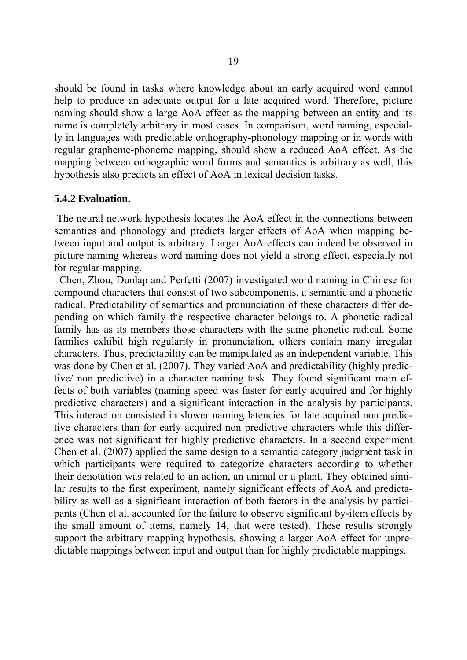should be found in tasks where knowledge about an early acquired word cannot help to produce an adequate output for a late acquired word. Therefore, picture naming should show a large AoA effect as the mapping between an entity and its name is completely arbitrary in most cases. In comparison, word naming, especially in languages with predictable orthography-phonology mapping or in words with regular grapheme-phoneme mapping, should show a reduced AoA effect. As the mapping between orthographic word forms and semantics is arbitrary as well, this hypothesis also predicts an effect of AoA in lexical decision tasks.

#### **5.4.2 Evaluation.**

 The neural network hypothesis locates the AoA effect in the connections between semantics and phonology and predicts larger effects of AoA when mapping between input and output is arbitrary. Larger AoA effects can indeed be observed in picture naming whereas word naming does not yield a strong effect, especially not for regular mapping.

 Chen, Zhou, Dunlap and Perfetti (2007) investigated word naming in Chinese for compound characters that consist of two subcomponents, a semantic and a phonetic radical. Predictability of semantics and pronunciation of these characters differ depending on which family the respective character belongs to. A phonetic radical family has as its members those characters with the same phonetic radical. Some families exhibit high regularity in pronunciation, others contain many irregular characters. Thus, predictability can be manipulated as an independent variable. This was done by Chen et al. (2007). They varied AoA and predictability (highly predictive/ non predictive) in a character naming task. They found significant main effects of both variables (naming speed was faster for early acquired and for highly predictive characters) and a significant interaction in the analysis by participants. This interaction consisted in slower naming latencies for late acquired non predictive characters than for early acquired non predictive characters while this difference was not significant for highly predictive characters. In a second experiment Chen et al. (2007) applied the same design to a semantic category judgment task in which participants were required to categorize characters according to whether their denotation was related to an action, an animal or a plant. They obtained similar results to the first experiment, namely significant effects of AoA and predictability as well as a significant interaction of both factors in the analysis by participants (Chen et al. accounted for the failure to observe significant by-item effects by the small amount of items, namely 14, that were tested). These results strongly support the arbitrary mapping hypothesis, showing a larger AoA effect for unpredictable mappings between input and output than for highly predictable mappings.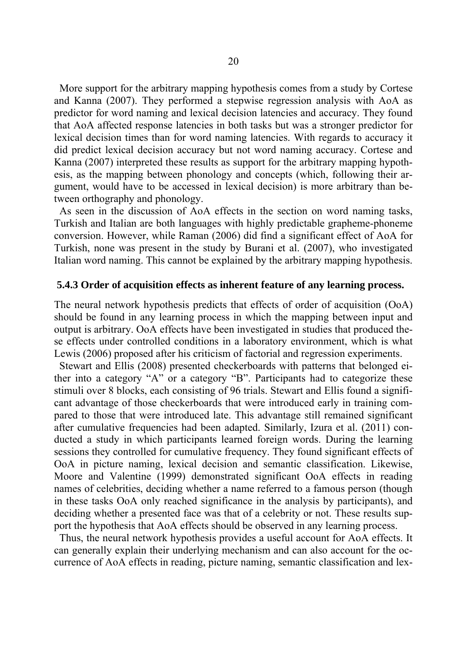More support for the arbitrary mapping hypothesis comes from a study by Cortese and Kanna (2007). They performed a stepwise regression analysis with AoA as predictor for word naming and lexical decision latencies and accuracy. They found that AoA affected response latencies in both tasks but was a stronger predictor for lexical decision times than for word naming latencies. With regards to accuracy it did predict lexical decision accuracy but not word naming accuracy. Cortese and Kanna (2007) interpreted these results as support for the arbitrary mapping hypothesis, as the mapping between phonology and concepts (which, following their argument, would have to be accessed in lexical decision) is more arbitrary than between orthography and phonology.

 As seen in the discussion of AoA effects in the section on word naming tasks, Turkish and Italian are both languages with highly predictable grapheme-phoneme conversion. However, while Raman (2006) did find a significant effect of AoA for Turkish, none was present in the study by Burani et al. (2007), who investigated Italian word naming. This cannot be explained by the arbitrary mapping hypothesis.

#### **5.4.3 Order of acquisition effects as inherent feature of any learning process.**

The neural network hypothesis predicts that effects of order of acquisition (OoA) should be found in any learning process in which the mapping between input and output is arbitrary. OoA effects have been investigated in studies that produced these effects under controlled conditions in a laboratory environment, which is what Lewis (2006) proposed after his criticism of factorial and regression experiments.

 Stewart and Ellis (2008) presented checkerboards with patterns that belonged either into a category "A" or a category "B". Participants had to categorize these stimuli over 8 blocks, each consisting of 96 trials. Stewart and Ellis found a significant advantage of those checkerboards that were introduced early in training compared to those that were introduced late. This advantage still remained significant after cumulative frequencies had been adapted. Similarly, Izura et al. (2011) conducted a study in which participants learned foreign words. During the learning sessions they controlled for cumulative frequency. They found significant effects of OoA in picture naming, lexical decision and semantic classification. Likewise, Moore and Valentine (1999) demonstrated significant OoA effects in reading names of celebrities, deciding whether a name referred to a famous person (though in these tasks OoA only reached significance in the analysis by participants), and deciding whether a presented face was that of a celebrity or not. These results support the hypothesis that AoA effects should be observed in any learning process.

 Thus, the neural network hypothesis provides a useful account for AoA effects. It can generally explain their underlying mechanism and can also account for the occurrence of AoA effects in reading, picture naming, semantic classification and lex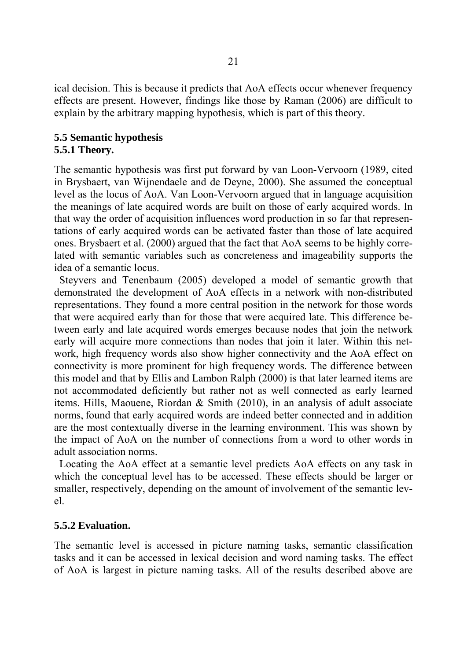ical decision. This is because it predicts that AoA effects occur whenever frequency effects are present. However, findings like those by Raman (2006) are difficult to explain by the arbitrary mapping hypothesis, which is part of this theory.

## **5.5 Semantic hypothesis 5.5.1 Theory.**

The semantic hypothesis was first put forward by van Loon-Vervoorn (1989, cited in Brysbaert, van Wijnendaele and de Deyne, 2000). She assumed the conceptual level as the locus of AoA. Van Loon-Vervoorn argued that in language acquisition the meanings of late acquired words are built on those of early acquired words. In that way the order of acquisition influences word production in so far that representations of early acquired words can be activated faster than those of late acquired ones. Brysbaert et al. (2000) argued that the fact that AoA seems to be highly correlated with semantic variables such as concreteness and imageability supports the idea of a semantic locus.

 Steyvers and Tenenbaum (2005) developed a model of semantic growth that demonstrated the development of AoA effects in a network with non-distributed representations. They found a more central position in the network for those words that were acquired early than for those that were acquired late. This difference between early and late acquired words emerges because nodes that join the network early will acquire more connections than nodes that join it later. Within this network, high frequency words also show higher connectivity and the AoA effect on connectivity is more prominent for high frequency words. The difference between this model and that by Ellis and Lambon Ralph (2000) is that later learned items are not accommodated deficiently but rather not as well connected as early learned items. Hills, Maouene, Riordan & Smith (2010), in an analysis of adult associate norms, found that early acquired words are indeed better connected and in addition are the most contextually diverse in the learning environment. This was shown by the impact of AoA on the number of connections from a word to other words in adult association norms.

 Locating the AoA effect at a semantic level predicts AoA effects on any task in which the conceptual level has to be accessed. These effects should be larger or smaller, respectively, depending on the amount of involvement of the semantic level.

## **5.5.2 Evaluation.**

The semantic level is accessed in picture naming tasks, semantic classification tasks and it can be accessed in lexical decision and word naming tasks. The effect of AoA is largest in picture naming tasks. All of the results described above are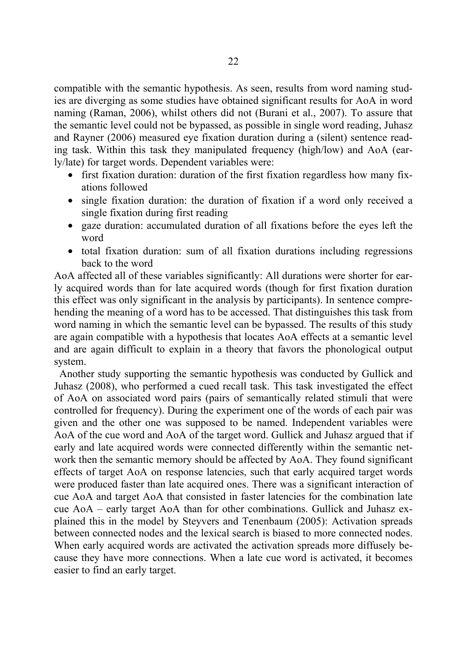compatible with the semantic hypothesis. As seen, results from word naming studies are diverging as some studies have obtained significant results for AoA in word naming (Raman, 2006), whilst others did not (Burani et al., 2007). To assure that the semantic level could not be bypassed, as possible in single word reading, Juhasz and Rayner (2006) measured eye fixation duration during a (silent) sentence reading task. Within this task they manipulated frequency (high/low) and AoA (early/late) for target words. Dependent variables were:

- first fixation duration: duration of the first fixation regardless how many fixations followed
- single fixation duration: the duration of fixation if a word only received a single fixation during first reading
- gaze duration: accumulated duration of all fixations before the eyes left the word
- total fixation duration: sum of all fixation durations including regressions back to the word

AoA affected all of these variables significantly: All durations were shorter for early acquired words than for late acquired words (though for first fixation duration this effect was only significant in the analysis by participants). In sentence comprehending the meaning of a word has to be accessed. That distinguishes this task from word naming in which the semantic level can be bypassed. The results of this study are again compatible with a hypothesis that locates AoA effects at a semantic level and are again difficult to explain in a theory that favors the phonological output system.

 Another study supporting the semantic hypothesis was conducted by Gullick and Juhasz (2008), who performed a cued recall task. This task investigated the effect of AoA on associated word pairs (pairs of semantically related stimuli that were controlled for frequency). During the experiment one of the words of each pair was given and the other one was supposed to be named. Independent variables were AoA of the cue word and AoA of the target word. Gullick and Juhasz argued that if early and late acquired words were connected differently within the semantic network then the semantic memory should be affected by AoA. They found significant effects of target AoA on response latencies, such that early acquired target words were produced faster than late acquired ones. There was a significant interaction of cue AoA and target AoA that consisted in faster latencies for the combination late cue AoA – early target AoA than for other combinations. Gullick and Juhasz explained this in the model by Steyvers and Tenenbaum (2005): Activation spreads between connected nodes and the lexical search is biased to more connected nodes. When early acquired words are activated the activation spreads more diffusely because they have more connections. When a late cue word is activated, it becomes easier to find an early target.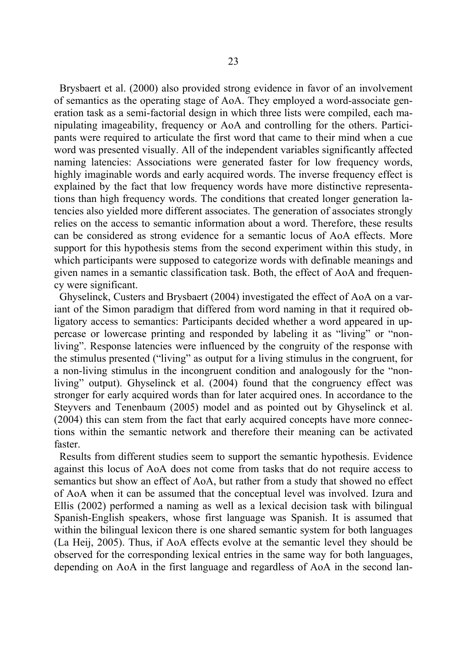Brysbaert et al. (2000) also provided strong evidence in favor of an involvement of semantics as the operating stage of AoA. They employed a word-associate generation task as a semi-factorial design in which three lists were compiled, each manipulating imageability, frequency or AoA and controlling for the others. Participants were required to articulate the first word that came to their mind when a cue word was presented visually. All of the independent variables significantly affected naming latencies: Associations were generated faster for low frequency words, highly imaginable words and early acquired words. The inverse frequency effect is explained by the fact that low frequency words have more distinctive representations than high frequency words. The conditions that created longer generation latencies also yielded more different associates. The generation of associates strongly relies on the access to semantic information about a word. Therefore, these results can be considered as strong evidence for a semantic locus of AoA effects. More support for this hypothesis stems from the second experiment within this study, in which participants were supposed to categorize words with definable meanings and given names in a semantic classification task. Both, the effect of AoA and frequency were significant.

 Ghyselinck, Custers and Brysbaert (2004) investigated the effect of AoA on a variant of the Simon paradigm that differed from word naming in that it required obligatory access to semantics: Participants decided whether a word appeared in uppercase or lowercase printing and responded by labeling it as "living" or "nonliving". Response latencies were influenced by the congruity of the response with the stimulus presented ("living" as output for a living stimulus in the congruent, for a non-living stimulus in the incongruent condition and analogously for the "nonliving" output). Ghyselinck et al. (2004) found that the congruency effect was stronger for early acquired words than for later acquired ones. In accordance to the Steyvers and Tenenbaum (2005) model and as pointed out by Ghyselinck et al. (2004) this can stem from the fact that early acquired concepts have more connections within the semantic network and therefore their meaning can be activated faster.

 Results from different studies seem to support the semantic hypothesis. Evidence against this locus of AoA does not come from tasks that do not require access to semantics but show an effect of AoA, but rather from a study that showed no effect of AoA when it can be assumed that the conceptual level was involved. Izura and Ellis (2002) performed a naming as well as a lexical decision task with bilingual Spanish-English speakers, whose first language was Spanish. It is assumed that within the bilingual lexicon there is one shared semantic system for both languages (La Heij, 2005). Thus, if AoA effects evolve at the semantic level they should be observed for the corresponding lexical entries in the same way for both languages, depending on AoA in the first language and regardless of AoA in the second lan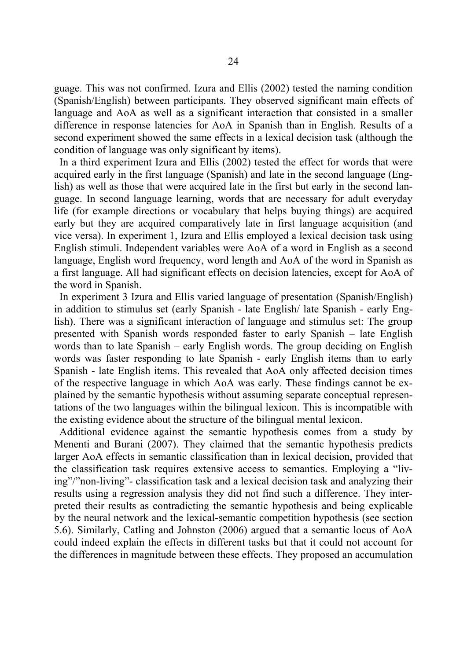guage. This was not confirmed. Izura and Ellis (2002) tested the naming condition (Spanish/English) between participants. They observed significant main effects of language and AoA as well as a significant interaction that consisted in a smaller difference in response latencies for AoA in Spanish than in English. Results of a second experiment showed the same effects in a lexical decision task (although the condition of language was only significant by items).

 In a third experiment Izura and Ellis (2002) tested the effect for words that were acquired early in the first language (Spanish) and late in the second language (English) as well as those that were acquired late in the first but early in the second language. In second language learning, words that are necessary for adult everyday life (for example directions or vocabulary that helps buying things) are acquired early but they are acquired comparatively late in first language acquisition (and vice versa). In experiment 1, Izura and Ellis employed a lexical decision task using English stimuli. Independent variables were AoA of a word in English as a second language, English word frequency, word length and AoA of the word in Spanish as a first language. All had significant effects on decision latencies, except for AoA of the word in Spanish.

 In experiment 3 Izura and Ellis varied language of presentation (Spanish/English) in addition to stimulus set (early Spanish - late English/ late Spanish - early English). There was a significant interaction of language and stimulus set: The group presented with Spanish words responded faster to early Spanish – late English words than to late Spanish – early English words. The group deciding on English words was faster responding to late Spanish - early English items than to early Spanish - late English items. This revealed that AoA only affected decision times of the respective language in which AoA was early. These findings cannot be explained by the semantic hypothesis without assuming separate conceptual representations of the two languages within the bilingual lexicon. This is incompatible with the existing evidence about the structure of the bilingual mental lexicon.

 Additional evidence against the semantic hypothesis comes from a study by Menenti and Burani (2007). They claimed that the semantic hypothesis predicts larger AoA effects in semantic classification than in lexical decision, provided that the classification task requires extensive access to semantics. Employing a "living"/"non-living"- classification task and a lexical decision task and analyzing their results using a regression analysis they did not find such a difference. They interpreted their results as contradicting the semantic hypothesis and being explicable by the neural network and the lexical-semantic competition hypothesis (see section 5.6). Similarly, Catling and Johnston (2006) argued that a semantic locus of AoA could indeed explain the effects in different tasks but that it could not account for the differences in magnitude between these effects. They proposed an accumulation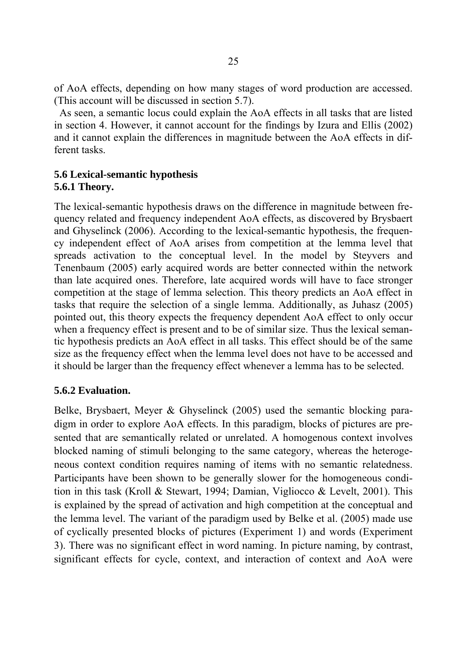of AoA effects, depending on how many stages of word production are accessed. (This account will be discussed in section 5.7).

 As seen, a semantic locus could explain the AoA effects in all tasks that are listed in section 4. However, it cannot account for the findings by Izura and Ellis (2002) and it cannot explain the differences in magnitude between the AoA effects in different tasks.

#### **5.6 Lexical-semantic hypothesis 5.6.1 Theory.**

The lexical-semantic hypothesis draws on the difference in magnitude between frequency related and frequency independent AoA effects, as discovered by Brysbaert and Ghyselinck (2006). According to the lexical-semantic hypothesis, the frequency independent effect of AoA arises from competition at the lemma level that spreads activation to the conceptual level. In the model by Steyvers and Tenenbaum (2005) early acquired words are better connected within the network than late acquired ones. Therefore, late acquired words will have to face stronger competition at the stage of lemma selection. This theory predicts an AoA effect in tasks that require the selection of a single lemma. Additionally, as Juhasz (2005) pointed out, this theory expects the frequency dependent AoA effect to only occur when a frequency effect is present and to be of similar size. Thus the lexical semantic hypothesis predicts an AoA effect in all tasks. This effect should be of the same size as the frequency effect when the lemma level does not have to be accessed and it should be larger than the frequency effect whenever a lemma has to be selected.

## **5.6.2 Evaluation.**

Belke, Brysbaert, Meyer & Ghyselinck (2005) used the semantic blocking paradigm in order to explore AoA effects. In this paradigm, blocks of pictures are presented that are semantically related or unrelated. A homogenous context involves blocked naming of stimuli belonging to the same category, whereas the heterogeneous context condition requires naming of items with no semantic relatedness. Participants have been shown to be generally slower for the homogeneous condition in this task (Kroll & Stewart, 1994; Damian, Vigliocco & Levelt, 2001). This is explained by the spread of activation and high competition at the conceptual and the lemma level. The variant of the paradigm used by Belke et al. (2005) made use of cyclically presented blocks of pictures (Experiment 1) and words (Experiment 3). There was no significant effect in word naming. In picture naming, by contrast, significant effects for cycle, context, and interaction of context and AoA were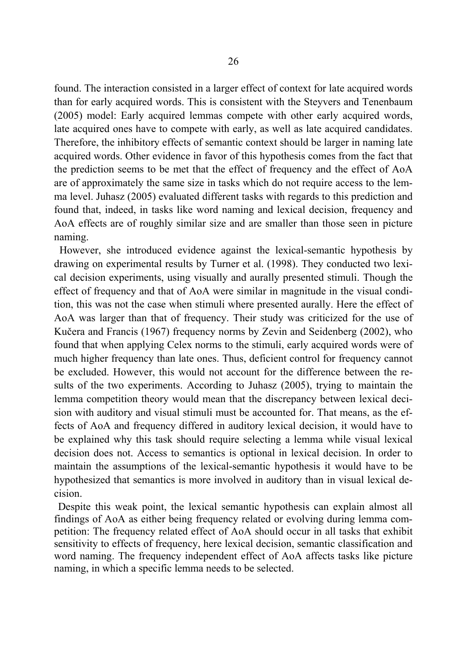found. The interaction consisted in a larger effect of context for late acquired words than for early acquired words. This is consistent with the Steyvers and Tenenbaum (2005) model: Early acquired lemmas compete with other early acquired words, late acquired ones have to compete with early, as well as late acquired candidates. Therefore, the inhibitory effects of semantic context should be larger in naming late acquired words. Other evidence in favor of this hypothesis comes from the fact that the prediction seems to be met that the effect of frequency and the effect of AoA are of approximately the same size in tasks which do not require access to the lemma level. Juhasz (2005) evaluated different tasks with regards to this prediction and found that, indeed, in tasks like word naming and lexical decision, frequency and AoA effects are of roughly similar size and are smaller than those seen in picture naming.

 However, she introduced evidence against the lexical-semantic hypothesis by drawing on experimental results by Turner et al. (1998). They conducted two lexical decision experiments, using visually and aurally presented stimuli. Though the effect of frequency and that of AoA were similar in magnitude in the visual condition, this was not the case when stimuli where presented aurally. Here the effect of AoA was larger than that of frequency. Their study was criticized for the use of Kučera and Francis (1967) frequency norms by Zevin and Seidenberg (2002), who found that when applying Celex norms to the stimuli, early acquired words were of much higher frequency than late ones. Thus, deficient control for frequency cannot be excluded. However, this would not account for the difference between the results of the two experiments. According to Juhasz (2005), trying to maintain the lemma competition theory would mean that the discrepancy between lexical decision with auditory and visual stimuli must be accounted for. That means, as the effects of AoA and frequency differed in auditory lexical decision, it would have to be explained why this task should require selecting a lemma while visual lexical decision does not. Access to semantics is optional in lexical decision. In order to maintain the assumptions of the lexical-semantic hypothesis it would have to be hypothesized that semantics is more involved in auditory than in visual lexical decision.

 Despite this weak point, the lexical semantic hypothesis can explain almost all findings of AoA as either being frequency related or evolving during lemma competition: The frequency related effect of AoA should occur in all tasks that exhibit sensitivity to effects of frequency, here lexical decision, semantic classification and word naming. The frequency independent effect of AoA affects tasks like picture naming, in which a specific lemma needs to be selected.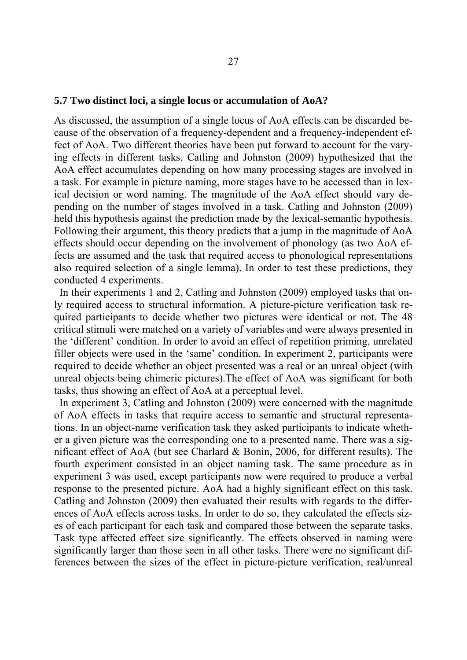#### **5.7 Two distinct loci, a single locus or accumulation of AoA?**

As discussed, the assumption of a single locus of AoA effects can be discarded because of the observation of a frequency-dependent and a frequency-independent effect of AoA. Two different theories have been put forward to account for the varying effects in different tasks. Catling and Johnston (2009) hypothesized that the AoA effect accumulates depending on how many processing stages are involved in a task. For example in picture naming, more stages have to be accessed than in lexical decision or word naming. The magnitude of the AoA effect should vary depending on the number of stages involved in a task. Catling and Johnston (2009) held this hypothesis against the prediction made by the lexical-semantic hypothesis. Following their argument, this theory predicts that a jump in the magnitude of AoA effects should occur depending on the involvement of phonology (as two AoA effects are assumed and the task that required access to phonological representations also required selection of a single lemma). In order to test these predictions, they conducted 4 experiments.

 In their experiments 1 and 2, Catling and Johnston (2009) employed tasks that only required access to structural information. A picture-picture verification task required participants to decide whether two pictures were identical or not. The 48 critical stimuli were matched on a variety of variables and were always presented in the 'different' condition. In order to avoid an effect of repetition priming, unrelated filler objects were used in the 'same' condition. In experiment 2, participants were required to decide whether an object presented was a real or an unreal object (with unreal objects being chimeric pictures).The effect of AoA was significant for both tasks, thus showing an effect of AoA at a perceptual level.

 In experiment 3, Catling and Johnston (2009) were concerned with the magnitude of AoA effects in tasks that require access to semantic and structural representations. In an object-name verification task they asked participants to indicate whether a given picture was the corresponding one to a presented name. There was a significant effect of AoA (but see Charlard & Bonin, 2006, for different results). The fourth experiment consisted in an object naming task. The same procedure as in experiment 3 was used, except participants now were required to produce a verbal response to the presented picture. AoA had a highly significant effect on this task. Catling and Johnston (2009) then evaluated their results with regards to the differences of AoA effects across tasks. In order to do so, they calculated the effects sizes of each participant for each task and compared those between the separate tasks. Task type affected effect size significantly. The effects observed in naming were significantly larger than those seen in all other tasks. There were no significant differences between the sizes of the effect in picture-picture verification, real/unreal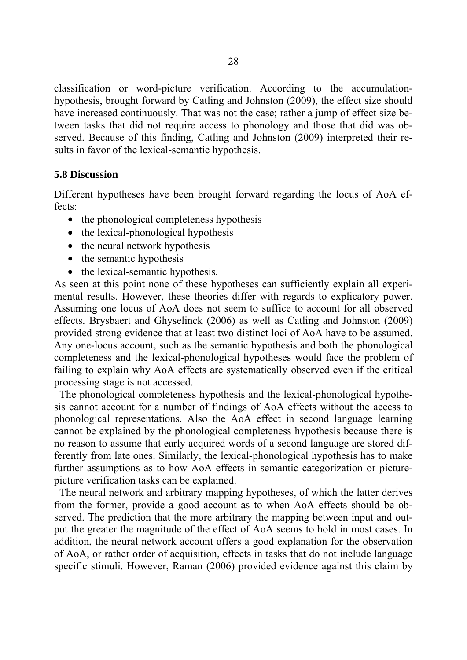classification or word-picture verification. According to the accumulationhypothesis, brought forward by Catling and Johnston (2009), the effect size should have increased continuously. That was not the case; rather a jump of effect size between tasks that did not require access to phonology and those that did was observed. Because of this finding, Catling and Johnston (2009) interpreted their results in favor of the lexical-semantic hypothesis.

#### **5.8 Discussion**

Different hypotheses have been brought forward regarding the locus of AoA effects:

- the phonological completeness hypothesis
- the lexical-phonological hypothesis
- the neural network hypothesis
- the semantic hypothesis
- the lexical-semantic hypothesis.

As seen at this point none of these hypotheses can sufficiently explain all experimental results. However, these theories differ with regards to explicatory power. Assuming one locus of AoA does not seem to suffice to account for all observed effects. Brysbaert and Ghyselinck (2006) as well as Catling and Johnston (2009) provided strong evidence that at least two distinct loci of AoA have to be assumed. Any one-locus account, such as the semantic hypothesis and both the phonological completeness and the lexical-phonological hypotheses would face the problem of failing to explain why AoA effects are systematically observed even if the critical processing stage is not accessed.

 The phonological completeness hypothesis and the lexical-phonological hypothesis cannot account for a number of findings of AoA effects without the access to phonological representations. Also the AoA effect in second language learning cannot be explained by the phonological completeness hypothesis because there is no reason to assume that early acquired words of a second language are stored differently from late ones. Similarly, the lexical-phonological hypothesis has to make further assumptions as to how AoA effects in semantic categorization or picturepicture verification tasks can be explained.

 The neural network and arbitrary mapping hypotheses, of which the latter derives from the former, provide a good account as to when AoA effects should be observed. The prediction that the more arbitrary the mapping between input and output the greater the magnitude of the effect of AoA seems to hold in most cases. In addition, the neural network account offers a good explanation for the observation of AoA, or rather order of acquisition, effects in tasks that do not include language specific stimuli. However, Raman (2006) provided evidence against this claim by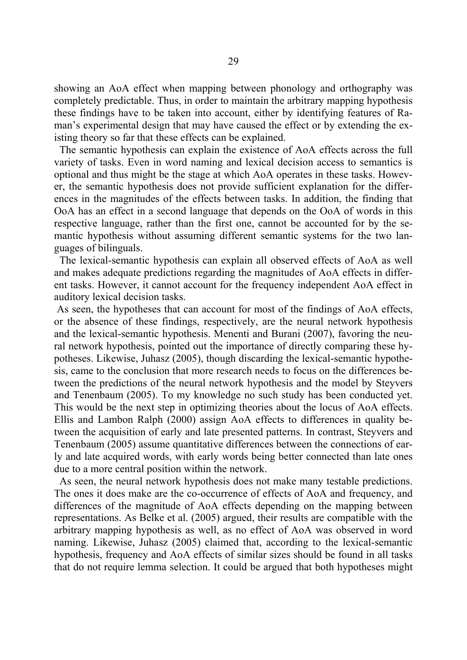showing an AoA effect when mapping between phonology and orthography was completely predictable. Thus, in order to maintain the arbitrary mapping hypothesis these findings have to be taken into account, either by identifying features of Raman's experimental design that may have caused the effect or by extending the existing theory so far that these effects can be explained.

 The semantic hypothesis can explain the existence of AoA effects across the full variety of tasks. Even in word naming and lexical decision access to semantics is optional and thus might be the stage at which AoA operates in these tasks. However, the semantic hypothesis does not provide sufficient explanation for the differences in the magnitudes of the effects between tasks. In addition, the finding that OoA has an effect in a second language that depends on the OoA of words in this respective language, rather than the first one, cannot be accounted for by the semantic hypothesis without assuming different semantic systems for the two languages of bilinguals.

 The lexical-semantic hypothesis can explain all observed effects of AoA as well and makes adequate predictions regarding the magnitudes of AoA effects in different tasks. However, it cannot account for the frequency independent AoA effect in auditory lexical decision tasks.

 As seen, the hypotheses that can account for most of the findings of AoA effects, or the absence of these findings, respectively, are the neural network hypothesis and the lexical-semantic hypothesis. Menenti and Burani (2007), favoring the neural network hypothesis, pointed out the importance of directly comparing these hypotheses. Likewise, Juhasz (2005), though discarding the lexical-semantic hypothesis, came to the conclusion that more research needs to focus on the differences between the predictions of the neural network hypothesis and the model by Steyvers and Tenenbaum (2005). To my knowledge no such study has been conducted yet. This would be the next step in optimizing theories about the locus of AoA effects. Ellis and Lambon Ralph (2000) assign AoA effects to differences in quality between the acquisition of early and late presented patterns. In contrast, Steyvers and Tenenbaum (2005) assume quantitative differences between the connections of early and late acquired words, with early words being better connected than late ones due to a more central position within the network.

 As seen, the neural network hypothesis does not make many testable predictions. The ones it does make are the co-occurrence of effects of AoA and frequency, and differences of the magnitude of AoA effects depending on the mapping between representations. As Belke et al. (2005) argued, their results are compatible with the arbitrary mapping hypothesis as well, as no effect of AoA was observed in word naming. Likewise, Juhasz (2005) claimed that, according to the lexical-semantic hypothesis, frequency and AoA effects of similar sizes should be found in all tasks that do not require lemma selection. It could be argued that both hypotheses might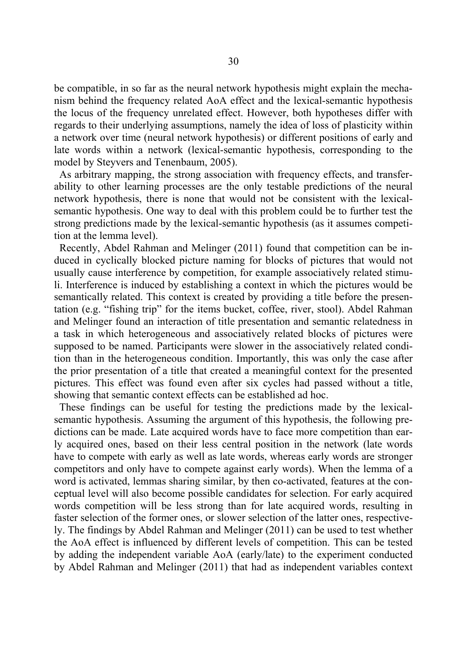be compatible, in so far as the neural network hypothesis might explain the mechanism behind the frequency related AoA effect and the lexical-semantic hypothesis the locus of the frequency unrelated effect. However, both hypotheses differ with regards to their underlying assumptions, namely the idea of loss of plasticity within a network over time (neural network hypothesis) or different positions of early and late words within a network (lexical-semantic hypothesis, corresponding to the model by Steyvers and Tenenbaum, 2005).

 As arbitrary mapping, the strong association with frequency effects, and transferability to other learning processes are the only testable predictions of the neural network hypothesis, there is none that would not be consistent with the lexicalsemantic hypothesis. One way to deal with this problem could be to further test the strong predictions made by the lexical-semantic hypothesis (as it assumes competition at the lemma level).

 Recently, Abdel Rahman and Melinger (2011) found that competition can be induced in cyclically blocked picture naming for blocks of pictures that would not usually cause interference by competition, for example associatively related stimuli. Interference is induced by establishing a context in which the pictures would be semantically related. This context is created by providing a title before the presentation (e.g. "fishing trip" for the items bucket, coffee, river, stool). Abdel Rahman and Melinger found an interaction of title presentation and semantic relatedness in a task in which heterogeneous and associatively related blocks of pictures were supposed to be named. Participants were slower in the associatively related condition than in the heterogeneous condition. Importantly, this was only the case after the prior presentation of a title that created a meaningful context for the presented pictures. This effect was found even after six cycles had passed without a title, showing that semantic context effects can be established ad hoc.

 These findings can be useful for testing the predictions made by the lexicalsemantic hypothesis. Assuming the argument of this hypothesis, the following predictions can be made. Late acquired words have to face more competition than early acquired ones, based on their less central position in the network (late words have to compete with early as well as late words, whereas early words are stronger competitors and only have to compete against early words). When the lemma of a word is activated, lemmas sharing similar, by then co-activated, features at the conceptual level will also become possible candidates for selection. For early acquired words competition will be less strong than for late acquired words, resulting in faster selection of the former ones, or slower selection of the latter ones, respectively. The findings by Abdel Rahman and Melinger (2011) can be used to test whether the AoA effect is influenced by different levels of competition. This can be tested by adding the independent variable AoA (early/late) to the experiment conducted by Abdel Rahman and Melinger (2011) that had as independent variables context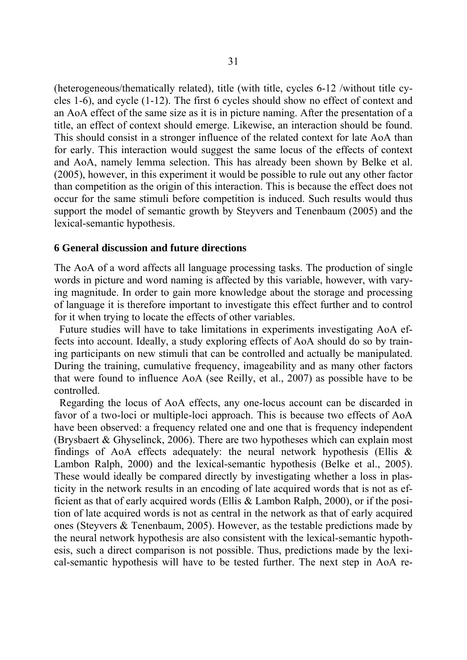(heterogeneous/thematically related), title (with title, cycles 6-12 /without title cycles 1-6), and cycle (1-12). The first 6 cycles should show no effect of context and an AoA effect of the same size as it is in picture naming. After the presentation of a title, an effect of context should emerge. Likewise, an interaction should be found. This should consist in a stronger influence of the related context for late AoA than for early. This interaction would suggest the same locus of the effects of context and AoA, namely lemma selection. This has already been shown by Belke et al. (2005), however, in this experiment it would be possible to rule out any other factor than competition as the origin of this interaction. This is because the effect does not occur for the same stimuli before competition is induced. Such results would thus support the model of semantic growth by Steyvers and Tenenbaum (2005) and the lexical-semantic hypothesis.

#### **6 General discussion and future directions**

The AoA of a word affects all language processing tasks. The production of single words in picture and word naming is affected by this variable, however, with varying magnitude. In order to gain more knowledge about the storage and processing of language it is therefore important to investigate this effect further and to control for it when trying to locate the effects of other variables.

 Future studies will have to take limitations in experiments investigating AoA effects into account. Ideally, a study exploring effects of AoA should do so by training participants on new stimuli that can be controlled and actually be manipulated. During the training, cumulative frequency, imageability and as many other factors that were found to influence AoA (see Reilly, et al., 2007) as possible have to be controlled.

 Regarding the locus of AoA effects, any one-locus account can be discarded in favor of a two-loci or multiple-loci approach. This is because two effects of AoA have been observed: a frequency related one and one that is frequency independent (Brysbaert & Ghyselinck, 2006). There are two hypotheses which can explain most findings of AoA effects adequately: the neural network hypothesis (Ellis  $\&$ Lambon Ralph, 2000) and the lexical-semantic hypothesis (Belke et al., 2005). These would ideally be compared directly by investigating whether a loss in plasticity in the network results in an encoding of late acquired words that is not as efficient as that of early acquired words (Ellis & Lambon Ralph, 2000), or if the position of late acquired words is not as central in the network as that of early acquired ones (Steyvers & Tenenbaum, 2005). However, as the testable predictions made by the neural network hypothesis are also consistent with the lexical-semantic hypothesis, such a direct comparison is not possible. Thus, predictions made by the lexical-semantic hypothesis will have to be tested further. The next step in AoA re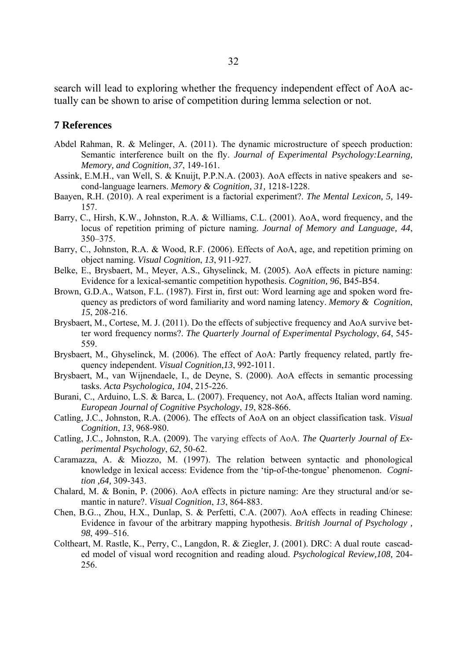search will lead to exploring whether the frequency independent effect of AoA actually can be shown to arise of competition during lemma selection or not.

#### **7 References**

- Abdel Rahman, R. & Melinger, A. (2011). The dynamic microstructure of speech production: Semantic interference built on the fly. *Journal of Experimental Psychology:Learning, Memory, and Cognition*, *37*, 149-161.
- Assink, E.M.H., van Well, S. & Knuijt, P.P.N.A. (2003). AoA effects in native speakers and second-language learners. *Memory & Cognition, 31,* 1218-1228.
- Baayen, R.H. (2010). A real experiment is a factorial experiment?. *The Mental Lexicon, 5,* 149- 157.
- Barry, C., Hirsh, K.W., Johnston, R.A. & Williams, C.L. (2001). AoA, word frequency, and the locus of repetition priming of picture naming. *Journal of Memory and Language, 44*, 350–375.
- Barry, C., Johnston, R.A. & Wood, R.F. (2006). Effects of AoA, age, and repetition priming on object naming. *Visual Cognition*, *13*, 911-927.
- Belke, E., Brysbaert, M., Meyer, A.S., Ghyselinck, M. (2005). AoA effects in picture naming: Evidence for a lexical-semantic competition hypothesis. *Cognition, 96*, B45-B54.
- Brown, G.D.A., Watson, F.L. (1987). First in, first out: Word learning age and spoken word frequency as predictors of word familiarity and word naming latency. *Memory & Cognition*, *15*, 208-216.
- Brysbaert, M., Cortese, M. J. (2011). Do the effects of subjective frequency and AoA survive better word frequency norms?. *The Quarterly Journal of Experimental Psychology*, *64*, 545- 559.
- Brysbaert, M., Ghyselinck, M. (2006). The effect of AoA: Partly frequency related, partly frequency independent. *Visual Cognition*,*13*, 992-1011.
- Brysbaert, M., van Wijnendaele, I., de Deyne, S. (2000). AoA effects in semantic processing tasks. *Acta Psychologica, 104*, 215-226.
- Burani, C., Arduino, L.S. & Barca, L. (2007). Frequency, not AoA, affects Italian word naming. *European Journal of Cognitive Psychology*, *19*, 828-866.
- Catling, J.C., Johnston, R.A. (2006). The effects of AoA on an object classification task. *Visual Cognition*, *13*, 968-980.
- Catling, J.C., Johnston, R.A. (2009). The varying effects of AoA. *The Quarterly Journal of Experimental Psychology*, *62*, 50-62.
- Caramazza, A. & Miozzo, M. (1997). The relation between syntactic and phonological knowledge in lexical access: Evidence from the 'tip-of-the-tongue' phenomenon. *Cognition ,64,* 309-343.
- Chalard, M. & Bonin, P. (2006). AoA effects in picture naming: Are they structural and/or semantic in nature?. *Visual Cognition*, *13*, 864-883.
- Chen, B.G.., Zhou, H.X., Dunlap, S. & Perfetti, C.A. (2007). AoA effects in reading Chinese: Evidence in favour of the arbitrary mapping hypothesis. *British Journal of Psychology , 98*, 499–516.
- Coltheart, M. Rastle, K., Perry, C., Langdon, R. & Ziegler, J. (2001). DRC: A dual route cascaded model of visual word recognition and reading aloud. *Psychological Review,108,* 204- 256.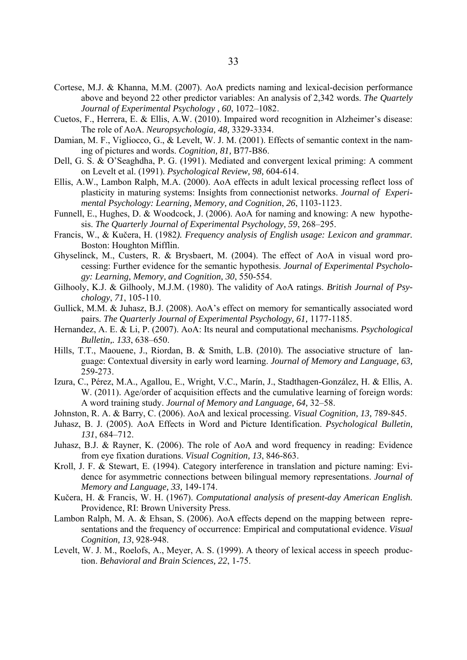- Cortese, M.J. & Khanna, M.M. (2007). AoA predicts naming and lexical-decision performance above and beyond 22 other predictor variables: An analysis of 2,342 words. *The Quartely Journal of Experimental Psychology , 60*, 1072–1082.
- Cuetos, F., Herrera, E. & Ellis, A.W. (2010). Impaired word recognition in Alzheimer's disease: The role of AoA. *Neuropsychologia, 48,* 3329-3334.
- Damian, M. F., Vigliocco, G., & Levelt, W. J. M. (2001). Effects of semantic context in the naming of pictures and words. *Cognition, 81,* B77-B86.
- Dell, G. S. & O'Seaghdha, P. G. (1991). Mediated and convergent lexical priming: A comment on Levelt et al. (1991). *Psychological Review, 98,* 604-614.
- Ellis, A.W., Lambon Ralph, M.A. (2000). AoA effects in adult lexical processing reflect loss of plasticity in maturing systems: Insights from connectionist networks. *Journal of Experimental Psychology: Learning, Memory, and Cognition*, *26*, 1103-1123.
- Funnell, E., Hughes, D. & Woodcock, J. (2006). AoA for naming and knowing: A new hypothesis. *The Quarterly Journal of Experimental Psychology, 59*, 268–295.
- Francis, W., & Kučera, H. (1982*). Frequency analysis of English usage: Lexicon and grammar.* Boston: Houghton Mifflin.
- Ghyselinck, M., Custers, R. & Brysbaert, M. (2004). The effect of AoA in visual word processing: Further evidence for the semantic hypothesis. *Journal of Experimental Psychology: Learning, Memory, and Cognition, 30*, 550-554.
- Gilhooly, K.J. & Gilhooly, M.J.M. (1980). The validity of AoA ratings. *British Journal of Psychology*, *71*, 105-110.
- Gullick, M.M. & Juhasz, B.J. (2008). AoA's effect on memory for semantically associated word pairs. *The Quarterly Journal of Experimental Psychology, 61,* 1177-1185.
- Hernandez, A. E. & Li, P. (2007). AoA: Its neural and computational mechanisms. *Psychological Bulletin,. 133*, 638–650.
- Hills, T.T., Maouene, J., Riordan, B. & Smith, L.B. (2010). The associative structure of language: Contextual diversity in early word learning. *Journal of Memory and Language, 63,*  259-273.
- Izura, C., Pérez, M.A., Agallou, E., Wright, V.C., Marín, J., Stadthagen-González, H. & Ellis, A. W. (2011). Age/order of acquisition effects and the cumulative learning of foreign words: A word training study. *Journal of Memory and Language, 64,* 32–58.
- Johnston, R. A. & Barry, C. (2006). AoA and lexical processing. *Visual Cognition, 13,* 789-845.
- Juhasz, B. J. (2005). AoA Effects in Word and Picture Identification. *Psychological Bulletin, 131*, 684–712.
- Juhasz, B.J. & Rayner, K. (2006). The role of AoA and word frequency in reading: Evidence from eye fixation durations. *Visual Cognition, 13*, 846-863.
- Kroll, J. F. & Stewart, E. (1994). Category interference in translation and picture naming: Evidence for asymmetric connections between bilingual memory representations. *Journal of Memory and Language, 33,* 149-174.
- Kučera, H. & Francis, W. H. (1967). *Computational analysis of present-day American English.* Providence, RI: Brown University Press.
- Lambon Ralph, M. A. & Ehsan, S. (2006). AoA effects depend on the mapping between representations and the frequency of occurrence: Empirical and computational evidence. *Visual Cognition, 13*, 928-948.
- Levelt, W. J. M., Roelofs, A., Meyer, A. S. (1999). A theory of lexical access in speech production. *Behavioral and Brain Sciences, 22*, 1-75.